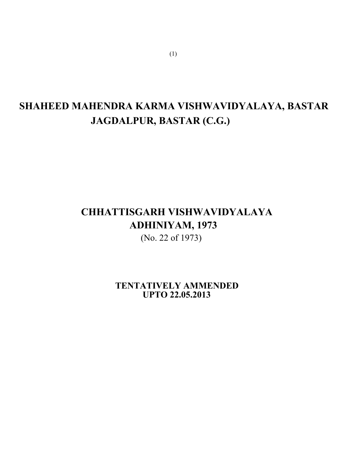# **SHAHEED MAHENDRA KARMA VISHWAVIDYALAYA, BASTAR JAGDALPUR, BASTAR (C.G.)**

# **CHHATTISGARH VISHWAVIDYALAYA ADHINIYAM, 1973**

(No. 22 of 1973)

**TENTATIVELY AMMENDED UPTO 22.05.2013** 

(1)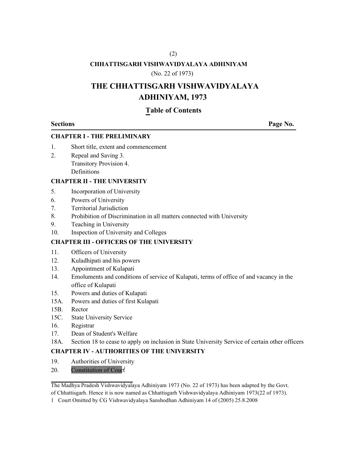# (2)

# **CHHATTISGARH VISHWAVIDYALAYA ADHINIYAM**

## (No. 22 of 1973)

# **THE CHHATTISGARH VISHWAVIDYALAYA ADHINIYAM, 1973**

# **Table of Contents**

**Sections** Page No.

## **CHAPTER I - THE PRELIMINARY**

- 1. Short title, extent and commencement
- 2. Repeal and Saving 3. Transitory Provision 4. Definitions

# **CHAPTER II - THE UNIVERSITY**

- 5. Incorporation of University
- 6. Powers of University
- 7. Territorial Jurisdiction
- 8. Prohibition of Discrimination in all matters connected with University
- 9. Teaching in University
- 10. Inspection of University and Colleges

# **CHAPTER III - OFFICERS OF THE UNIVERSITY**

- 11. Officers of University
- 12. Kuladhipati and his powers
- 13. Appointment of Kulapati
- 14. Emoluments and conditions of service of Kulapati, terms of office of and vacancy in the office of Kulapati
- 15. Powers and duties of Kulapati
- 15A. Powers and duties of first Kulapati
- 15B. Rector
- 15C. State University Service
- 16. Registrar
- 17. Dean of Student's Welfare
- 18A. Section 18 to cease to apply on inclusion in State University Service of certain other officers

# **CHAPTER IV - AUTHORITIES OF THE UNIVERSITY**

- 19. Authorities of University
- 20. Constitution of Court

The Madhya Pradesh Vishwavidyalaya Adhiniyam 1973 (No. 22 of 1973) has been adapted by the Govt. of Chhattisgarh. Hence it is now named as Chhattisgarh Vishwavidyalaya Adhiniyam 1973(22 of 1973).

1 Court Omitted by CG Vishwavidyalaya Sanshodhan Adhiniyam 14 of (2005) 25.8.2008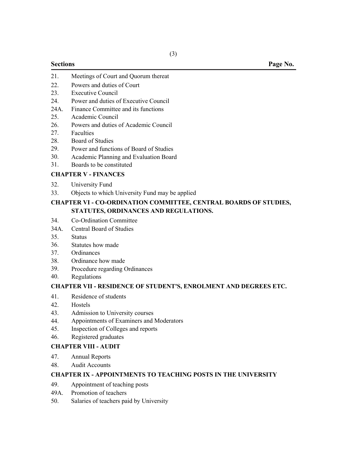- 21. Meetings of Court and Quorum thereat
- 22. Powers and duties of Court
- 23. Executive Council
- 24. Power and duties of Executive Council
- 24A. Finance Committee and its functions
- 25. Academic Council
- 26. Powers and duties of Academic Council
- 27. Faculties
- 28. Board of Studies
- 29. Power and functions of Board of Studies
- 30. Academic Planning and Evaluation Board
- 31. Boards to be constituted

# **CHAPTER V - FINANCES**

- 32. University Fund
- 33. Objects to which University Fund may be applied

# **CHAPTER VI - CO-ORDINATION COMMITTEE, CENTRAL BOARDS OF STUDIES, STATUTES, ORDINANCES AND REGULATIONS.**

- 34. Co-Ordination Committee
- 34A. Central Board of Studies
- 35. Status
- 36. Statutes how made
- 37. **Ordinances**
- 38. Ordinance how made
- 39. Procedure regarding Ordinances
- 40. Regulations

# **CHAPTER VII - RESIDENCE OF STUDENT'S, ENROLMENT AND DEGREES ETC.**

- 41. Residence of students
- 42. Hostels
- 43. Admission to University courses
- 44. Appointments of Examiners and Moderators
- 45. Inspection of Colleges and reports
- 46. Registered graduates

# **CHAPTER VIII - AUDIT**

- 47. Annual Reports
- 48. Audit Accounts

### **CHAPTER IX - APPOINTMENTS TO TEACHING POSTS IN THE UNIVERSITY**

- 49. Appointment of teaching posts
- 49A. Promotion of teachers
- 50. Salaries of teachers paid by University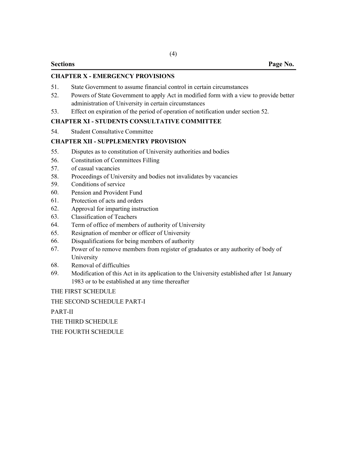## **CHAPTER X - EMERGENCY PROVISIONS**

- 51. State Government to assume financial control in certain circumstances
- 52. Powers of State Government to apply Act in modified form with a view to provide better administration of University in certain circumstances
- 53. Effect on expiration of the period of operation of notification under section 52.

# **CHAPTER XI - STUDENTS CONSULTATIVE COMMITTEE**

54. Student Consultative Committee

# **CHAPTER XII - SUPPLEMENTRY PROVISION**

- 55. Disputes as to constitution of University authorities and bodies
- 56. Constitution of Committees Filling
- 57. of casual vacancies
- 58. Proceedings of University and bodies not invalidates by vacancies
- 59. Conditions of service
- 60. Pension and Provident Fund
- 61. Protection of acts and orders
- 62. Approval for imparting instruction
- 63. Classification of Teachers
- 64. Term of office of members of authority of University
- 65. Resignation of member or officer of University
- 66. Disqualifications for being members of authority
- 67. Power of to remove members from register of graduates or any authority of body of University
- 68. Removal of difficulties
- 69. Modification of this Act in its application to the University established after 1st January 1983 or to be established at any time thereafter

THE FIRST SCHEDULE

THE SECOND SCHEDULE PART-I

PART-II

THE THIRD SCHEDULE

THE FOURTH SCHEDULE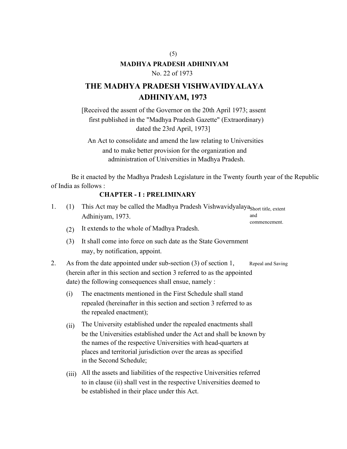# **MADHYA PRADESH ADHINIYAM**

 $(5)$ 

# No. 22 of 1973

# **THE MADHYA PRADESH VISHWAVIDYALAYA ADHINIYAM, 1973**

[Received the assent of the Governor on the 20th April 1973; assent first published in the "Madhya Pradesh Gazette" (Extraordinary) dated the 23rd April, 1973]

An Act to consolidate and amend the law relating to Universities and to make better provision for the organization and administration of Universities in Madhya Pradesh.

Be it enacted by the Madhya Pradesh Legislature in the Twenty fourth year of the Republic of India as follows :

# **CHAPTER - I : PRELIMINARY**

be established in their place under this Act.

| 1. | (1)                                                                                                                                                                                                                         | This Act may be called the Madhya Pradesh Vishwavidyalaya <sub>Short title, extent</sub><br>Adhiniyam, 1973.<br>and                                                                                                                                                                                   |
|----|-----------------------------------------------------------------------------------------------------------------------------------------------------------------------------------------------------------------------------|-------------------------------------------------------------------------------------------------------------------------------------------------------------------------------------------------------------------------------------------------------------------------------------------------------|
|    | (2)                                                                                                                                                                                                                         | commencement.<br>It extends to the whole of Madhya Pradesh.                                                                                                                                                                                                                                           |
|    | (3)                                                                                                                                                                                                                         | It shall come into force on such date as the State Government<br>may, by notification, appoint.                                                                                                                                                                                                       |
| 2. | As from the date appointed under sub-section $(3)$ of section 1,<br>Repeal and Saving<br>(herein after in this section and section 3 referred to as the appointed<br>date) the following consequences shall ensue, namely : |                                                                                                                                                                                                                                                                                                       |
|    | (i)                                                                                                                                                                                                                         | The enactments mentioned in the First Schedule shall stand<br>repealed (hereinafter in this section and section 3 referred to as<br>the repealed enactment);                                                                                                                                          |
|    | (ii)                                                                                                                                                                                                                        | The University established under the repealed enactments shall<br>be the Universities established under the Act and shall be known by<br>the names of the respective Universities with head-quarters at<br>places and territorial jurisdiction over the areas as specified<br>in the Second Schedule; |
|    | (iii)                                                                                                                                                                                                                       | All the assets and liabilities of the respective Universities referred<br>to in clause (ii) shall vest in the respective Universities deemed to                                                                                                                                                       |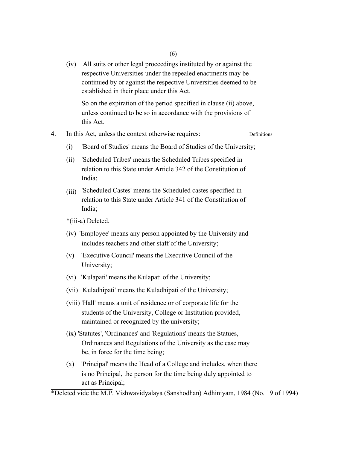(iv) All suits or other legal proceedings instituted by or against the respective Universities under the repealed enactments may be continued by or against the respective Universities deemed to be established in their place under this Act.

So on the expiration of the period specified in clause (ii) above, unless continued to be so in accordance with the provisions of this Act.

- 4. In this Act, unless the context otherwise requires: Definitions
	- (i) 'Board of Studies' means the Board of Studies of the University;
	- (ii) 'Scheduled Tribes' means the Scheduled Tribes specified in relation to this State under Article 342 of the Constitution of India;
	- $(iii)$ 'Scheduled Castes' means the Scheduled castes specified in relation to this State under Article 341 of the Constitution of India;
	- \*(iii-a) Deleted.
	- (iv) 'Employee' means any person appointed by the University and includes teachers and other staff of the University;
	- (v) 'Executive Council' means the Executive Council of the University;
	- (vi) 'Kulapati' means the Kulapati of the University;
	- (vii) 'Kuladhipati' means the Kuladhipati of the University;
	- (viii) 'Hall' means a unit of residence or of corporate life for the students of the University, College or Institution provided, maintained or recognized by the university;
	- (ix) 'Statutes', 'Ordinances' and 'Regulations' means the Statues, Ordinances and Regulations of the University as the case may be, in force for the time being;
	- (x) 'Principal' means the Head of a College and includes, when there is no Principal, the person for the time being duly appointed to act as Principal;

\*Deleted vide the M.P. Vishwavidyalaya (Sanshodhan) Adhiniyam, 1984 (No. 19 of 1994)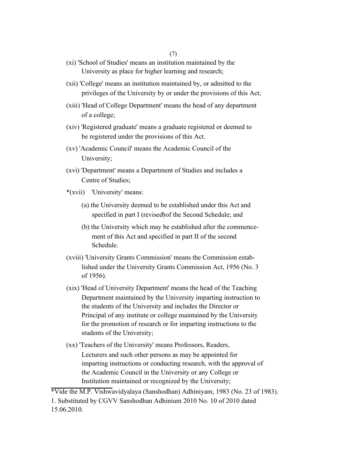### (7)

- (xi) 'School of Studies' means an institution maintained by the University as place for higher learning and research;
- (xii) 'College' means an institution maintained by, or admitted to the privileges of the University by or under the provisions of this Act;
- (xiii) 'Head of College Department' means the head of any department of a college;
- (xiv) 'Registered graduate' means a graduate registered or deemed to be registered under the provisions of this Act.
- (xv) 'Academic Council' means the Academic Council of the University;
- (xvi) 'Department' means a Department of Studies and includes a Centre of Studies;
- \*(xvii) 'University' means:
	- (a) the University deemed to be established under this Act and specified in part I (revised) of the Second Schedule; and
	- (b) the University which may be established after the commencement of this Act and specified in part II of the second Schedule.
- (xviii) 'University Grants Commission' means the Commission established under the University Grants Commission Act, 1956 (No. 3 of 1956).
- (xix) 'Head of University Department' means the head of the Teaching Department maintained by the University imparting instruction to the students of the University and includes the Director or Principal of any institute or college maintained by the University for the promotion of research or for imparting instructions to the students of the University;
- (xx) 'Teachers of the University' means Professors, Readers, Lecturers and such other persons as may be appointed for imparting instructions or conducting research, with the approval of the Academic Council in the University or any College or Institution maintained or recognized by the University;

\*Vide the M.P. Vishwavidyalaya (Sanshodhan) Adhiniyam, 1983 (No. 23 of 1983).

<sup>1.</sup> Substituted by CGVV Sanshodhan Adhinium 2010 No. 10 of 2010 dated 15.06.2010.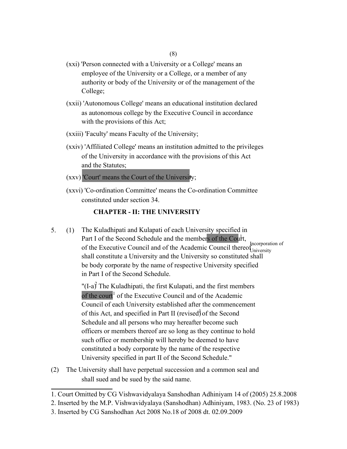- (xxi) 'Person connected with a University or a College' means an employee of the University or a College, or a member of any authority or body of the University or of the management of the College;
- (xxii) 'Autonomous College' means an educational institution declared as autonomous college by the Executive Council in accordance with the provisions of this Act;
- (xxiii) 'Faculty' means Faculty of the University;
- (xxiv) 'Affiliated College' means an institution admitted to the privileges of the University in accordance with the provisions of this Act and the Statutes;
- (xxv) 'Court' means the Court of the University; **<sup>1</sup>**
- (xxvi) 'Co-ordination Committee' means the Co-ordination Committee constituted under section 34.

# **CHAPTER - II: THE UNIVERSITY**

5. (1) The Kuladhipati and Kulapati of each University specified in Part I of the Second Schedule and the members of the Court, of the Executive Council and of the Academic Council thereof Iniversity shall constitute a University and the University so constituted shall be body corporate by the name of respective University specified in Part I of the Second Schedule. University

> "(I-a)<sup>2</sup> The Kuladhipati, the first Kulapati, and the first members of the court<sup>1</sup> of the Executive Council and of the Academic Council of each University established after the commencement of this Act, and specified in Part II (revised) of the Second University specified in part II of the Second Schedule." Schedule and all persons who may hereafter become such officers or members thereof are so long as they continue to hold such office or membership will hereby be deemed to have constituted a body corporate by the name of the respective

(2) The University shall have perpetual succession and a common seal and shall sued and be sued by the said name.

<sup>1.</sup> Court Omitted by CG Vishwavidyalaya Sanshodhan Adhiniyam 14 of (2005) 25.8.2008

<sup>2.</sup> Inserted by the M.P. Vishwavidyalaya (Sanshodhan) Adhiniyam, 1983. (No. 23 of 1983)

<sup>3.</sup> Inserted by CG Sanshodhan Act 2008 No.18 of 2008 dt. 02.09.2009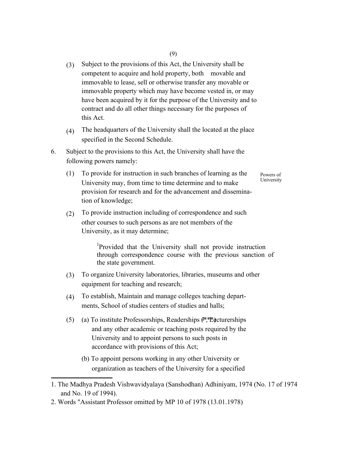- (3) Subject to the provisions of this Act, the University shall be competent to acquire and hold property, both movable and immovable to lease, sell or otherwise transfer any movable or immovable property which may have become vested in, or may have been acquired by it for the purpose of the University and to contract and do all other things necessary for the purposes of this Act.
- (4) The headquarters of the University shall the located at the place specified in the Second Schedule.
- 6. Subject to the provisions to this Act, the University shall have the following powers namely:
	- (1) To provide for instruction in such branches of learning as the University may, from time to time determine and to make provision for research and for the advancement and dissemination of knowledge; Powers of University
	- $(2)$ To provide instruction including of correspondence and such other courses to such persons as are not members of the University, as it may determine;

1 Provided that the University shall not provide instruction through correspondence course with the previous sanction of the state government.

- (3) To organize University laboratories, libraries, museums and other equipment for teaching and research;
- (4) To establish, Maintain and manage colleges teaching departments, School of studies centers of studies and halls;
- (5) (a) To institute Professorships, Readerships  $(*, * \times)$  ecturerships and any other academic or teaching posts required by the University and to appoint persons to such posts in accordance with provisions of this Act;
	- (b) To appoint persons working in any other University or organization as teachers of the University for a specified

<sup>1.</sup> The Madhya Pradesh Vishwavidyalaya (Sanshodhan) Adhiniyam, 1974 (No. 17 of 1974 and No. 19 of 1994).

<sup>2.</sup> Words "Assistant Professor omitted by MP 10 of 1978 (13.01.1978)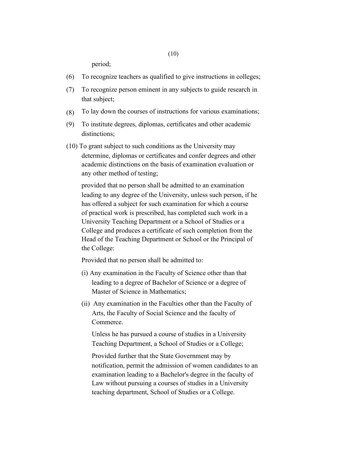period;

- (6) To recognize teachers as qualified to give instructions in colleges;
- (7) To recognize person eminent in any subjects to guide research in that subject;
- (8) To lay down the courses of instructions for various examinations;
- (9) To institute degrees, diplomas, certificates and other academic distinctions;
- (10) To grant subject to such conditions as the University may determine, diplomas or certificates and confer degrees and other academic distinctions on the basis of examination evaluation or any other method of testing;

provided that no person shall be admitted to an examination leading to any degree of the University, unless such person, if he has offered a subject for such examination for which a course of practical work is prescribed, has completed such work in a University Teaching Department or a School of Studies or a College and produces a certificate of such completion from the Head of the Teaching Department or School or the Principal of the College:

Provided that no person shall be admitted to:

- (i) Any examination in the Faculty of Science other than that leading to a degree of Bachelor of Science or a degree of Master of Science in Mathematics;
- (ii) Any examination in the Faculties other than the Faculty of Arts, the Faculty of Social Science and the faculty of Commerce.

Unless he has pursued a course of studies in a University Teaching Department, a School of Studies or a College;

Provided further that the State Government may by notification, permit the admission of women candidates to an examination leading to a Bachelor's degree in the faculty of Law without pursuing a courses of studies in a University teaching department, School of Studies or a College.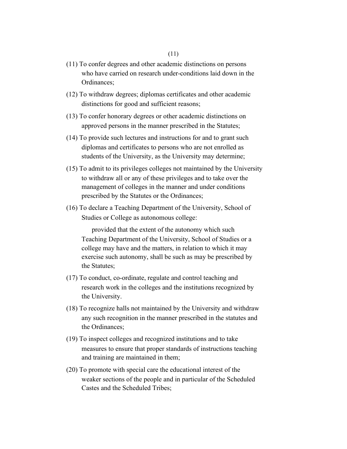- (11) To confer degrees and other academic distinctions on persons who have carried on research under-conditions laid down in the Ordinances;
- (12) To withdraw degrees; diplomas certificates and other academic distinctions for good and sufficient reasons;
- (13) To confer honorary degrees or other academic distinctions on approved persons in the manner prescribed in the Statutes;
- (14) To provide such lectures and instructions for and to grant such diplomas and certificates to persons who are not enrolled as students of the University, as the University may determine;
- (15) To admit to its privileges colleges not maintained by the University to withdraw all or any of these privileges and to take over the management of colleges in the manner and under conditions prescribed by the Statutes or the Ordinances;
- (16) To declare a Teaching Department of the University, School of Studies or College as autonomous college:

provided that the extent of the autonomy which such Teaching Department of the University, School of Studies or a college may have and the matters, in relation to which it may exercise such autonomy, shall be such as may be prescribed by the Statutes;

- (17) To conduct, co-ordinate, regulate and control teaching and research work in the colleges and the institutions recognized by the University.
- (18) To recognize halls not maintained by the University and withdraw any such recognition in the manner prescribed in the statutes and the Ordinances;
- (19) To inspect colleges and recognized institutions and to take measures to ensure that proper standards of instructions teaching and training are maintained in them;
- (20) To promote with special care the educational interest of the weaker sections of the people and in particular of the Scheduled Castes and the Scheduled Tribes;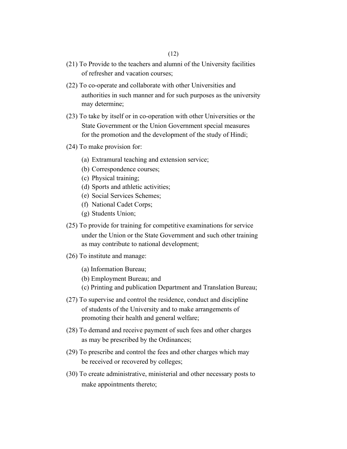- (21) To Provide to the teachers and alumni of the University facilities of refresher and vacation courses;
- (22) To co-operate and collaborate with other Universities and authorities in such manner and for such purposes as the university may determine;
- (23) To take by itself or in co-operation with other Universities or the State Government or the Union Government special measures for the promotion and the development of the study of Hindi;
- (24) To make provision for:
	- (a) Extramural teaching and extension service;
	- (b) Correspondence courses;
	- (c) Physical training;
	- (d) Sports and athletic activities;
	- (e) Social Services Schemes;
	- (f) National Cadet Corps;
	- (g) Students Union;
- (25) To provide for training for competitive examinations for service under the Union or the State Government and such other training as may contribute to national development;
- (26) To institute and manage:
	- (a) Information Bureau;
	- (b) Employment Bureau; and
	- (c) Printing and publication Department and Translation Bureau;
- (27) To supervise and control the residence, conduct and discipline of students of the University and to make arrangements of promoting their health and general welfare;
- (28) To demand and receive payment of such fees and other charges as may be prescribed by the Ordinances;
- (29) To prescribe and control the fees and other charges which may be received or recovered by colleges;
- (30) To create administrative, ministerial and other necessary posts to make appointments thereto;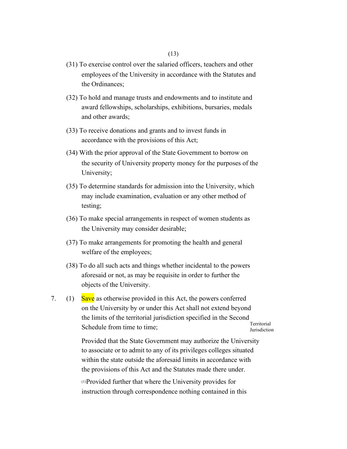- (31) To exercise control over the salaried officers, teachers and other employees of the University in accordance with the Statutes and the Ordinances;
- (32) To hold and manage trusts and endowments and to institute and award fellowships, scholarships, exhibitions, bursaries, medals and other awards;
- (33) To receive donations and grants and to invest funds in accordance with the provisions of this Act;
- (34) With the prior approval of the State Government to borrow on the security of University property money for the purposes of the University;
- (35) To determine standards for admission into the University, which may include examination, evaluation or any other method of testing;
- (36) To make special arrangements in respect of women students as the University may consider desirable;
- (37) To make arrangements for promoting the health and general welfare of the employees;
- (38) To do all such acts and things whether incidental to the powers aforesaid or not, as may be requisite in order to further the objects of the University.
- 7. (1) Save as otherwise provided in this Act, the powers conferred on the University by or under this Act shall not extend beyond the limits of the territorial jurisdiction specified in the Second Schedule from time to time; Territorial Jurisdiction

Provided that the State Government may authorize the University to associate or to admit to any of its privileges colleges situated within the state outside the aforesaid limits in accordance with the provisions of this Act and the Statutes made there under.

(1) Provided further that where the University provides for instruction through correspondence nothing contained in this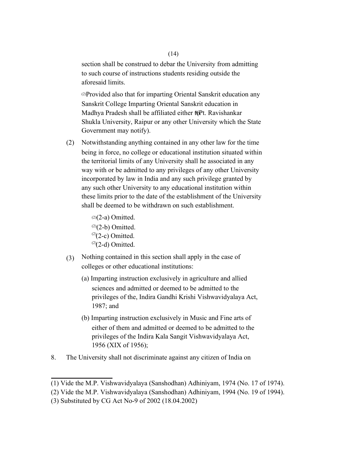section shall be construed to debar the University from admitting to such course of instructions students residing outside the aforesaid limits.

(2) Provided also that for imparting Oriental Sanskrit education any Sanskrit College Imparting Oriental Sanskrit education in Madhya Pradesh shall be affiliated either  $\mathfrak{k}$ <sup>OPt</sup>. Ravishankar Shukla University, Raipur or any other University which the State Government may notify).

(2) Notwithstanding anything contained in any other law for the time being in force, no college or educational institution situated within the territorial limits of any University shall he associated in any way with or be admitted to any privileges of any other University incorporated by law in India and any such privilege granted by any such other University to any educational institution within these limits prior to the date of the establishment of the University shall be deemed to be withdrawn on such establishment.

> $(2)(2-a)$  Omitted.  $(2)(2-b)$  Omitted.  $(2)$ (2-c) Omitted.  $(2)$ (2-d) Omitted.

- (3) Nothing contained in this section shall apply in the case of colleges or other educational institutions:
	- (a) Imparting instruction exclusively in agriculture and allied sciences and admitted or deemed to be admitted to the privileges of the, Indira Gandhi Krishi Vishwavidyalaya Act, 1987; and
	- (b) Imparting instruction exclusively in Music and Fine arts of either of them and admitted or deemed to be admitted to the privileges of the Indira Kala Sangit Vishwavidyalaya Act, 1956 (XIX of 1956);
- 8. The University shall not discriminate against any citizen of India on

<sup>(1)</sup> Vide the M.P. Vishwavidyalaya (Sanshodhan) Adhiniyam, 1974 (No. 17 of 1974).

<sup>(2)</sup> Vide the M.P. Vishwavidyalaya (Sanshodhan) Adhiniyam, 1994 (No. 19 of 1994).

<sup>(3)</sup> Substituted by CG Act No-9 of 2002 (18.04.2002)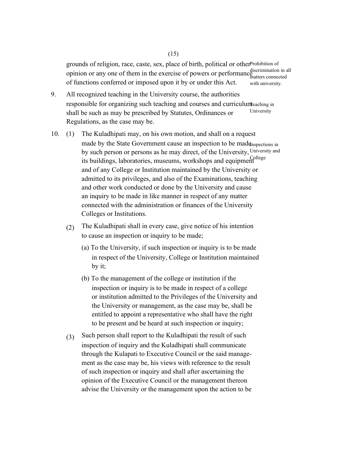grounds of religion, race, caste, sex, place of birth, political or other Prohibition of opinion or any one of them in the exercise of powers or performance discrimination in all of functions conferred or imposed upon it by or under this Act. matters connected with university.

- 9. All recognized teaching in the University course, the authorities responsible for organizing such teaching and courses and curriculum eaching in shall be such as may be prescribed by Statutes, Ordinances or Regulations, as the case may be. University
- 10. (1) The Kuladhipati may, on his own motion, and shall on a request made by the State Government cause an inspection to be madenspections in by such person or persons as he may direct, of the University, University and its buildings, laboratories, museums, workshops and equipment College and of any College or Institution maintained by the University or admitted to its privileges, and also of the Examinations, teaching and other work conducted or done by the University and cause an inquiry to be made in like manner in respect of any matter connected with the administration or finances of the University Colleges or Institutions.
	- (2) The Kuladhipati shall in every case, give notice of his intention to cause an inspection or inquiry to be made;
		- (a) To the University, if such inspection or inquiry is to be made in respect of the University, College or Institution maintained by it;
		- (b) To the management of the college or institution if the inspection or inquiry is to be made in respect of a college or institution admitted to the Privileges of the University and the University or management, as the case may be, shall be entitled to appoint a representative who shall have the right to be present and be heard at such inspection or inquiry;
	- (3) Such person shall report to the Kuladhipati the result of such inspection of inquiry and the Kuladhipati shall communicate through the Kulapati to Executive Council or the said management as the case may be, his views with reference to the result of such inspection or inquiry and shall after ascertaining the opinion of the Executive Council or the management thereon advise the University or the management upon the action to be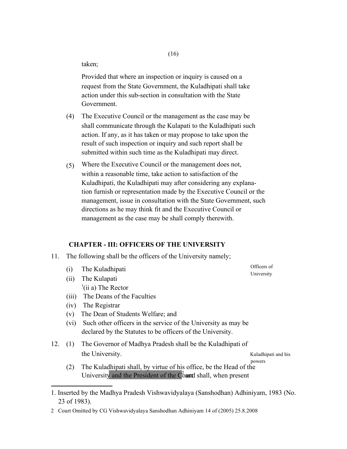taken;

Provided that where an inspection or inquiry is caused on a request from the State Government, the Kuladhipati shall take action under this sub-section in consultation with the State Government.

- (4) The Executive Council or the management as the case may be shall communicate through the Kulapati to the Kuladhipati such action. If any, as it has taken or may propose to take upon the result of such inspection or inquiry and such report shall be submitted within such time as the Kuladhipati may direct.
- (5) Where the Executive Council or the management does not, within a reasonable time, take action to satisfaction of the Kuladhipati, the Kuladhipati may after considering any explanation furnish or representation made by the Executive Council or the management, issue in consultation with the State Government, such directions as he may think fit and the Executive Council or management as the case may be shall comply therewith.

# **CHAPTER - III: OFFICERS OF THE UNIVERSITY**

- 11. The following shall be the officers of the University namely;
	- (i) (ii) The Kulapati The Kuladhipati  $l$ <sup>1</sup>(ii a) The Rector
	- (iii) The Deans of the Faculties
	- (iv) The Registrar
	- (v) The Dean of Students Welfare; and
	- (vi) Such other officers in the service of the University as may be declared by the Statutes to be officers of the University.
- 12. (1) The Governor of Madhya Pradesh shall be the Kuladhipati of the University. Kuladhipati and his

powers

Officers of University

(2) The Kuladhipati shall, by virtue of his office, be the Head of the University and the President of the  $C_0^2$  and shall, when present

<sup>1.</sup> Inserted by the Madhya Pradesh Vishwavidyalaya (Sanshodhan) Adhiniyam, 1983 (No. 23 of 1983).

<sup>2</sup> Court Omitted by CG Vishwavidyalaya Sanshodhan Adhiniyam 14 of (2005) 25.8.2008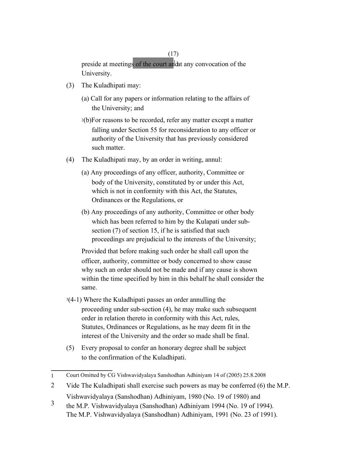(17)

preside at meetings of the court and the any convocation of the University.

- (3) The Kuladhipati may:
	- (a) Call for any papers or information relating to the affairs of the University; and
	- <sup>2</sup>(b)For reasons to be recorded, refer any matter except a matter falling under Section 55 for reconsideration to any officer or authority of the University that has previously considered such matter.
- (4) The Kuladhipati may, by an order in writing, annul:
	- (a) Any proceedings of any officer, authority, Committee or body of the University, constituted by or under this Act, which is not in conformity with this Act, the Statutes, Ordinances or the Regulations, or
	- (b) Any proceedings of any authority, Committee or other body which has been referred to him by the Kulapati under subsection (7) of section 15, if he is satisfied that such proceedings are prejudicial to the interests of the University;

Provided that before making such order he shall call upon the officer, authority, committee or body concerned to show cause why such an order should not be made and if any cause is shown within the time specified by him in this behalf he shall consider the same.

- <sup>3</sup>(4-1) Where the Kuladhipati passes an order annulling the proceeding under sub-section (4), he may make such subsequent order in relation thereto in conformity with this Act, rules, Statutes, Ordinances or Regulations, as he may deem fit in the interest of the University and the order so made shall be final.
- (5) Every proposal to confer an honorary degree shall be subject to the confirmation of the Kuladhipati.

<sup>1</sup>  Court Omitted by CG Vishwavidyalaya Sanshodhan Adhiniyam 14 of (2005) 25.8.2008

<sup>2</sup>  Vide The Kuladhipati shall exercise such powers as may be conferred (6) the M.P. Vishwavidyalaya (Sanshodhan) Adhiniyam, 1980 (No. 19 of 1980) and

<sup>3</sup>  the M.P. Vishwavidyalaya (Sanshodhan) Adhiniyam 1994 (No. 19 of 1994). The M.P. Vishwavidyalaya (Sanshodhan) Adhiniyam, 1991 (No. 23 of 1991).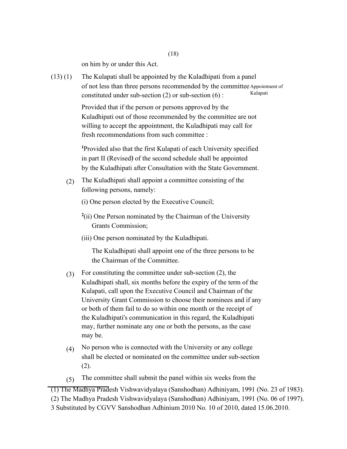on him by or under this Act.

 $(13)(1)$ The Kulapati shall be appointed by the Kuladhipati from a panel of not less than three persons recommended by the committee Appointment of constituted under sub-section  $(2)$  or sub-section  $(6)$ : Kulapati

> Provided that if the person or persons approved by the Kuladhipati out of those recommended by the committee are not willing to accept the appointment, the Kuladhipati may call for fresh recommendations from such committee :

**<sup>1</sup>**Provided also that the first Kulapati of each University specified in part II (Revised) of the second schedule shall be appointed by the Kuladhipati after Consultation with the State Government.

(2) The Kuladhipati shall appoint a committee consisting of the following persons, namely:

(i) One person elected by the Executive Council;

- **2** (ii) One Person nominated by the Chairman of the University Grants Commission;
- (iii) One person nominated by the Kuladhipati.

The Kuladhipati shall appoint one of the three persons to be the Chairman of the Committee.

- (3) For constituting the committee under sub-section (2), the Kuladhipati shall, six months before the expiry of the term of the Kulapati, call upon the Executive Council and Chairman of the University Grant Commission to choose their nominees and if any or both of them fail to do so within one month or the receipt of the Kuladhipati's communication in this regard, the Kuladhipati may, further nominate any one or both the persons, as the case may be.
- (4) No person who is connected with the University or any college shall be elected or nominated on the committee under sub-section (2).
- (5) The committee shall submit the panel within six weeks from the

(1) The Madhya Pradesh Vishwavidyalaya (Sanshodhan) Adhiniyam, 1991 (No. 23 of 1983).

<sup>(2)</sup> The Madhya Pradesh Vishwavidyalaya (Sanshodhan) Adhiniyam, 1991 (No. 06 of 1997).

<sup>3</sup> Substituted by CGVV Sanshodhan Adhinium 2010 No. 10 of 2010, dated 15.06.2010.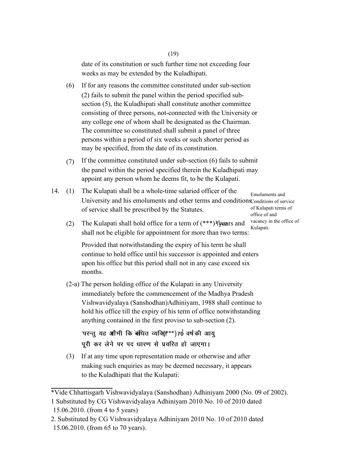# (19)

date of its constitution or such further time not exceeding four weeks as may be extended by the Kuladhipati.

- (6) If for any reasons the committee constituted under sub-section (2) fails to submit the panel within the period specified subsection (5), the Kuladhipati shall constitute another committee consisting of three persons, not-connected with the University or any college one of whom shall be designated as the Chairman. The committee so constituted shall submit a panel of three persons within a period of six weeks or such shorter period as may be specified, from the date of its constitution.
- (7) If the committee constituted under sub-section (6) fails to submit the panel within the period specified therein the Kuladhipati may appoint any person whom he deems fit, to be the Kulapati.
- 14. (1) The Kulapati shall be a whole-time salaried officer of the University and his emoluments and other terms and conditions Conditions of service of service shall be prescribed by the Statutes. Emoluments and of Kulapati terms of

office of and vacancy in the office of Kulapati.

(2) The Kulapati shall hold office for a term of (\*\*\*) five ars and shall not be eligible for appointment for more than two terms:

Provided that notwithstanding the expiry of his term he shall continue to hold office until his successor is appointed and enters upon his office but this period shall not in any case exceed six months.

(2-a) The person holding office of the Kulapati in any University immediately before the commencement of the Madhya Pradesh Vishwavidyalaya (Sanshodhan)Adhiniyam, 1988 shall continue to hold his office till the expiry of his term of office notwithstanding anything contained in the first proviso to sub-section (2).

'परन्तु यह **ओ**भी कि बंधित व्यक्ति्\*\*\*)70ं वर्षकी आयु पूरी कर लेने पर पद धारण से प्रवरित हो जाएगा।

(3) If at any time upon representation made or otherwise and after making such enquiries as may be deemed necessary, it appears to the Kuladhipati that the Kulapati:

<sup>\*</sup>Vide Chhattisgarh Vishwavidyalaya (Sanshodhan) Adhiniyam 2000 (No. 09 of 2002).

<sup>1</sup> Substituted by CG Vishwavidyalaya Adhiniyam 2010 No. 10 of 2010 dated 15.06.2010. (from 4 to 5 years)

<sup>2.</sup> Substituted by CG Vishwavidyalaya Adhiniyam 2010 No. 10 of 2010 dated 15.06.2010. (from 65 to 70 years).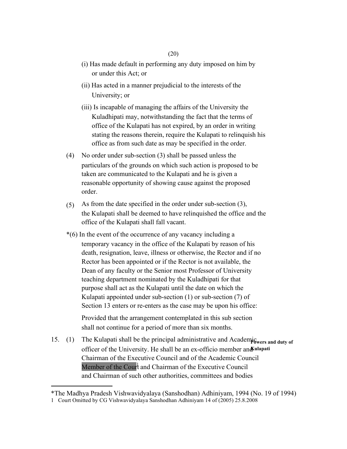- (i) Has made default in performing any duty imposed on him by or under this Act; or
- (ii) Has acted in a manner prejudicial to the interests of the University; or
- (iii) Is incapable of managing the affairs of the University the Kuladhipati may, notwithstanding the fact that the terms of office of the Kulapati has not expired, by an order in writing stating the reasons therein, require the Kulapati to relinquish his office as from such date as may be specified in the order.
- (4) No order under sub-section (3) shall be passed unless the particulars of the grounds on which such action is proposed to be taken are communicated to the Kulapati and he is given a reasonable opportunity of showing cause against the proposed order.
- $(5)$ As from the date specified in the order under sub-section (3), the Kulapati shall be deemed to have relinquished the office and the office of the Kulapati shall fall vacant.
- \*(6) In the event of the occurrence of any vacancy including a temporary vacancy in the office of the Kulapati by reason of his death, resignation, leave, illness or otherwise, the Rector and if no Rector has been appointed or if the Rector is not available, the Dean of any faculty or the Senior most Professor of University teaching department nominated by the Kuladhipati for that purpose shall act as the Kulapati until the date on which the Kulapati appointed under sub-section (1) or sub-section (7) of Section 13 enters or re-enters as the case may be upon his office:

Provided that the arrangement contemplated in this sub section shall not continue for a period of more than six months.

15. (1) The Kulapati shall be the principal administrative and Academic were and duty of officer of the University. He shall be an ex-officio member and ulapati Chairman of the Executive Council and of the Academic Council Member of the Court and Chairman of the Executive Council and Chairman of such other authorities, committees and bodies

<sup>\*</sup>The Madhya Pradesh Vishwavidyalaya (Sanshodhan) Adhiniyam, 1994 (No. 19 of 1994)

<sup>1</sup> Court Omitted by CG Vishwavidyalaya Sanshodhan Adhiniyam 14 of (2005) 25.8.2008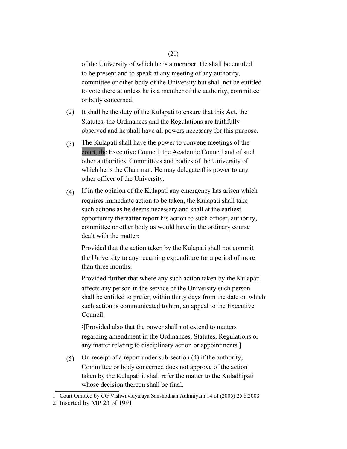of the University of which he is a member. He shall be entitled to be present and to speak at any meeting of any authority, committee or other body of the University but shall not be entitled to vote there at unless he is a member of the authority, committee or body concerned.

- (2) It shall be the duty of the Kulapati to ensure that this Act, the Statutes, the Ordinances and the Regulations are faithfully observed and he shall have all powers necessary for this purpose.
- (3) The Kulapati shall have the power to convene meetings of the court, the Executive Council, the Academic Council and of such other authorities, Committees and bodies of the University of which he is the Chairman. He may delegate this power to any other officer of the University.
- (4) If in the opinion of the Kulapati any emergency has arisen which requires immediate action to be taken, the Kulapati shall take such actions as he deems necessary and shall at the earliest opportunity thereafter report his action to such officer, authority, committee or other body as would have in the ordinary course dealt with the matter:

Provided that the action taken by the Kulapati shall not commit the University to any recurring expenditure for a period of more than three months:

Provided further that where any such action taken by the Kulapati affects any person in the service of the University such person shall be entitled to prefer, within thirty days from the date on which such action is communicated to him, an appeal to the Executive Council.

**<sup>2</sup>**[Provided also that the power shall not extend to matters regarding amendment in the Ordinances, Statutes, Regulations or any matter relating to disciplinary action or appointments.]

(5) On receipt of a report under sub-section (4) if the authority, Committee or body concerned does not approve of the action taken by the Kulapati it shall refer the matter to the Kuladhipati whose decision thereon shall be final.

<sup>1</sup> Court Omitted by CG Vishwavidyalaya Sanshodhan Adhiniyam 14 of (2005) 25.8.2008

<sup>2</sup> Inserted by MP 23 of 1991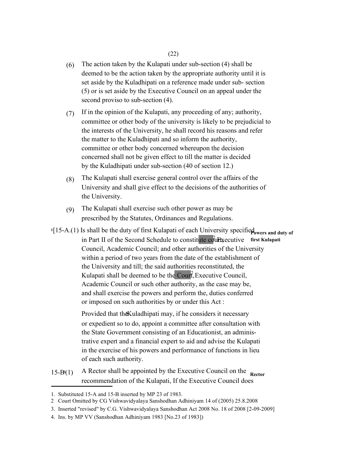- (6) The action taken by the Kulapati under sub-section (4) shall be deemed to be the action taken by the appropriate authority until it is set aside by the Kuladhipati on a reference made under sub- section (5) or is set aside by the Executive Council on an appeal under the second proviso to sub-section (4).
- (7) If in the opinion of the Kulapati, any proceeding of any; authority, committee or other body of the university is likely to be prejudicial to the interests of the University, he shall record his reasons and refer the matter to the Kuladhipati and so inform the authority, committee or other body concerned whereupon the decision concerned shall not be given effect to till the matter is decided by the Kuladhipati under sub-section (40 of section 12.)
- (8) The Kulapati shall exercise general control over the affairs of the University and shall give effect to the decisions of the authorities of the University.
- (9) The Kulapati shall exercise such other power as may be prescribed by the Statutes, Ordinances and Regulations.
- <sup>1</sup>[15-A.(1) Is shall be the duty of first Kulapati of each University specified owers and duty of in Part II of the Second Schedule to constitute courtly ecutive first Kulapati Council, Academic Council; and other authorities of the University within a period of two years from the date of the establishment of the University and till; the said authorities reconstituted, the Kulapati shall be deemed to be the  $\text{Cour}^2$ , Executive Council, or imposed on such authorities by or under this Act : Academic Council or such other authority, as the case may be, and shall exercise the powers and perform the, duties conferred

Provided that the Kuladhipati may, if he considers it necessary or expedient so to do, appoint a committee after consultation with the State Government consisting of an Educationist, an administrative expert and a financial expert to aid and advise the Kulapati in the exercise of his powers and performance of functions in lieu of each such authority.

15-B4(1) A Rector shall be appointed by the Executive Council on the **Rector**  recommendation of the Kulapati, If the Executive Council does

4. Ins. by MP VV (Sanshodhan Adhiniyam 1983 [No.23 of 1983])

<sup>1.</sup> Substituted 15-A and 15-B inserted by MP 23 of 1983.

<sup>2</sup> Court Omitted by CG Vishwavidyalaya Sanshodhan Adhiniyam 14 of (2005) 25.8.2008

<sup>3.</sup> Inserted "revised" by C.G. Vishwavidyalaya Sanshodhan Act 2008 No. 18 of 2008 [2-09-2009]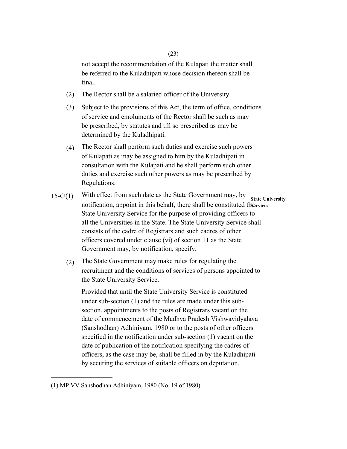not accept the recommendation of the Kulapati the matter shall be referred to the Kuladhipati whose decision thereon shall be final.

- (2) The Rector shall be a salaried officer of the University.
- (3) Subject to the provisions of this Act, the term of office, conditions of service and emoluments of the Rector shall be such as may be prescribed, by statutes and till so prescribed as may be determined by the Kuladhipati.
- (4) The Rector shall perform such duties and exercise such powers of Kulapati as may be assigned to him by the Kuladhipati in consultation with the Kulapati and he shall perform such other duties and exercise such other powers as may be prescribed by Regulations.
- $15-C(1)$ With effect from such date as the State Government may, by notification, appoint in this behalf, there shall be constituted the ervices State University Service for the purpose of providing officers to all the Universities in the State. The State University Service shall consists of the cadre of Registrars and such cadres of other officers covered under clause (vi) of section 11 as the State Government may, by notification, specify. **State University** 
	- (2) The State Government may make rules for regulating the recruitment and the conditions of services of persons appointed to the State University Service.

Provided that until the State University Service is constituted under sub-section (1) and the rules are made under this subsection, appointments to the posts of Registrars vacant on the date of commencement of the Madhya Pradesh Vishwavidyalaya (Sanshodhan) Adhiniyam, 1980 or to the posts of other officers specified in the notification under sub-section (1) vacant on the date of publication of the notification specifying the cadres of officers, as the case may be, shall be filled in by the Kuladhipati by securing the services of suitable officers on deputation.

<sup>(1)</sup> MP VV Sanshodhan Adhiniyam, 1980 (No. 19 of 1980).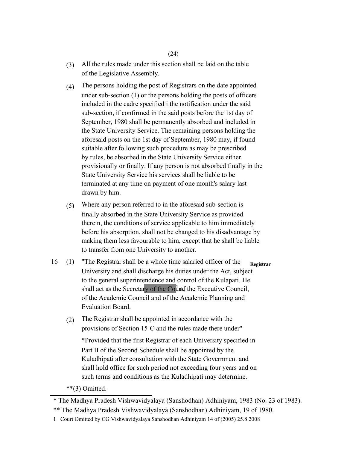(24)

- (3) All the rules made under this section shall be laid on the table of the Legislative Assembly.
- (4) The persons holding the post of Registrars on the date appointed under sub-section (1) or the persons holding the posts of officers included in the cadre specified i the notification under the said sub-section, if confirmed in the said posts before the 1st day of September, 1980 shall be permanently absorbed and included in the State University Service. The remaining persons holding the aforesaid posts on the 1st day of September, 1980 may, if found suitable after following such procedure as may be prescribed by rules, be absorbed in the State University Service either provisionally or finally. If any person is not absorbed finally in the State University Service his services shall be liable to be terminated at any time on payment of one month's salary last drawn by him.
- (5) Where any person referred to in the aforesaid sub-section is finally absorbed in the State University Service as provided therein, the conditions of service applicable to him immediately before his absorption, shall not be changed to his disadvantage by making them less favourable to him, except that he shall be liable to transfer from one University to another.
- 16 (1) "The Registrar shall be a whole time salaried officer of the University and shall discharge his duties under the Act, subject to the general superintendence and control of the Kulapati. He shall act as the Secretary of the Count of the Executive Council, of the Academic Council and of the Academic Planning and Evaluation Board. **Registrar** 
	- (2) The Registrar shall be appointed in accordance with the provisions of Section 15-C and the rules made there under"

\*Provided that the first Registrar of each University specified in Part II of the Second Schedule shall be appointed by the Kuladhipati after consultation with the State Government and shall hold office for such period not exceeding four years and on such terms and conditions as the Kuladhipati may determine.

\*\*(3) Omitted.

<sup>\*</sup> The Madhya Pradesh Vishwavidyalaya (Sanshodhan) Adhiniyam, 1983 (No. 23 of 1983).

<sup>\*\*</sup> The Madhya Pradesh Vishwavidyalaya (Sanshodhan) Adhiniyam, 19 of 1980.

<sup>1</sup> Court Omitted by CG Vishwavidyalaya Sanshodhan Adhiniyam 14 of (2005) 25.8.2008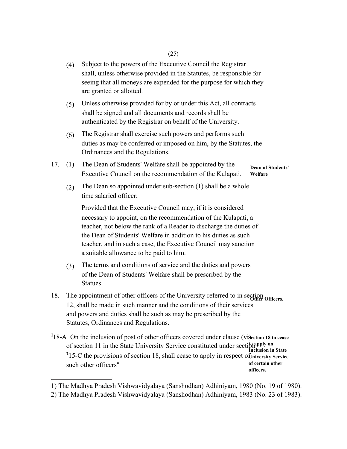- (4) Subject to the powers of the Executive Council the Registrar shall, unless otherwise provided in the Statutes, be responsible for seeing that all moneys are expended for the purpose for which they are granted or allotted.
- (5) Unless otherwise provided for by or under this Act, all contracts shall be signed and all documents and records shall be authenticated by the Registrar on behalf of the University.
- (6) The Registrar shall exercise such powers and performs such duties as may be conferred or imposed on him, by the Statutes, the Ordinances and the Regulations.
- 17. (1) The Dean of Students' Welfare shall be appointed by the Executive Council on the recommendation of the Kulapati. **Dean of Students' Welfare** 
	- (2) The Dean so appointed under sub-section (1) shall be a whole time salaried officer;

Provided that the Executive Council may, if it is considered necessary to appoint, on the recommendation of the Kulapati, a teacher, not below the rank of a Reader to discharge the duties of the Dean of Students' Welfare in addition to his duties as such teacher, and in such a case, the Executive Council may sanction a suitable allowance to be paid to him.

- (3) The terms and conditions of service and the duties and powers of the Dean of Students' Welfare shall be prescribed by the Statues.
- 18. The appointment of other officers of the University referred to in section officers. 12, shall be made in such manner and the conditions of their services and powers and duties shall be such as may be prescribed by the Statutes, Ordinances and Regulations.
- <sup>1</sup>18-A On the inclusion of post of other officers covered under clause (vi) ection 18 to cease of section 11 in the State University Service constituted under section<sup>phy on</sup> <sup>2</sup>15-C the provisions of section 18, shall cease to apply in respect of *university Service* such other officers" **Inclusion in State of certain other officers.**
- 1) The Madhya Pradesh Vishwavidyalaya (Sanshodhan) Adhiniyam, 1980 (No. 19 of 1980).

<sup>2)</sup> The Madhya Pradesh Vishwavidyalaya (Sanshodhan) Adhiniyam, 1983 (No. 23 of 1983).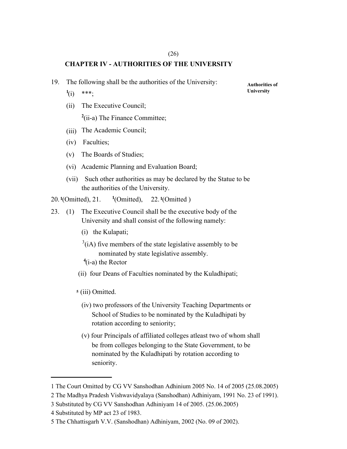# (26) **CHAPTER IV - AUTHORITIES OF THE UNIVERSITY**

- 19. The following shall be the authorities of the University: **Authorities of** 
	- **1** (i) \*\*\*;
	- (ii) The Executive Council; <sup>2</sup>(ii-a) The Finance Committee;
	- (iii) The Academic Council;
	- (iv) Faculties;
	- (v) The Boards of Studies;
	- (vi) Academic Planning and Evaluation Board;
	- (vii) Such other authorities as may be declared by the Statue to be the authorities of the University.
- 20. **<sup>1</sup>**(Omitted), 21. **<sup>1</sup>** (Omitted), 22. **<sup>1</sup>**(Omitted )
- 23. (1) The Executive Council shall be the executive body of the University and shall consist of the following namely:
	- (i) the Kulapati;
	- $3$ (iA) five members of the state legislative assembly to be nominated by state legislative assembly.
	- **4** (i-a) the Rector
	- (ii) four Deans of Faculties nominated by the Kuladhipati;
	- **<sup>5</sup>** (iii) Omitted.
		- (iv) two professors of the University Teaching Departments or School of Studies to be nominated by the Kuladhipati by rotation according to seniority;
		- (v) four Principals of affiliated colleges atleast two of whom shall be from colleges belonging to the State Government, to be nominated by the Kuladhipati by rotation according to seniority.

**University** 

<sup>1</sup> The Court Omitted by CG VV Sanshodhan Adhinium 2005 No. 14 of 2005 (25.08.2005)

<sup>2</sup> The Madhya Pradesh Vishwavidyalaya (Sanshodhan) Adhiniyam, 1991 No. 23 of 1991).

<sup>3</sup> Substituted by CG VV Sanshodhan Adhiniyam 14 of 2005. (25.06.2005)

<sup>4</sup> Substituted by MP act 23 of 1983.

<sup>5</sup> The Chhattisgarh V.V. (Sanshodhan) Adhiniyam, 2002 (No. 09 of 2002).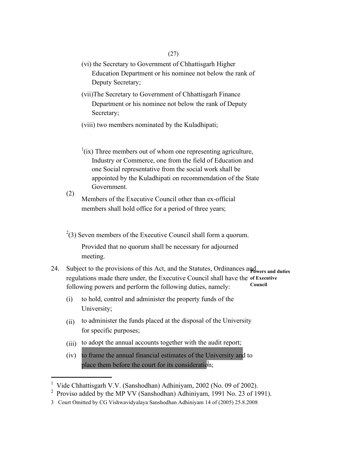- (vi) the Secretary to Government of Chhattisgarh Higher Education Department or his nominee not below the rank of Deputy Secretary;
- (vii)The Secretary to Government of Chhattisgarh Finance Department or his nominee not below the rank of Deputy Secretary;
- (viii) two members nominated by the Kuladhipati;
- $\frac{1}{i}$ (ix) Three members out of whom one representing agriculture, Industry or Commerce, one from the field of Education and one Social representative from the social work shall be appointed by the Kuladhipati on recommendation of the State Government.

(2) Members of the Executive Council other than ex-official members shall hold office for a period of three years;

- $^{2}(3)$  Seven members of the Executive Council shall form a quorum. Provided that no quorum shall be necessary for adjourned meeting.
- 24. Subject to the provisions of this Act, and the Statutes, Ordinances and **Powers and duties**  regulations made there under, the Executive Council shall have the **of Executive**  following powers and perform the following duties, namely: **Council** 
	- (i) to hold, control and administer the property funds of the University;
	- $(ii)$ to administer the funds placed at the disposal of the University for specific purposes;
	- (iii) to adopt the annual accounts together with the audit report;
	- $(iv)$ to frame the annual financial estimates of the University and to place them before the court for its consideration;

<sup>&</sup>lt;sup>1</sup> Vide Chhattisgarh V.V. (Sanshodhan) Adhiniyam, 2002 (No. 09 of 2002).

<sup>&</sup>lt;sup>2</sup> Proviso added by the MP VV (Sanshodhan) Adhiniyam, 1991 No. 23 of 1991).

<sup>3</sup> Court Omitted by CG Vishwavidyalaya Sanshodhan Adhiniyam 14 of (2005) 25.8.2008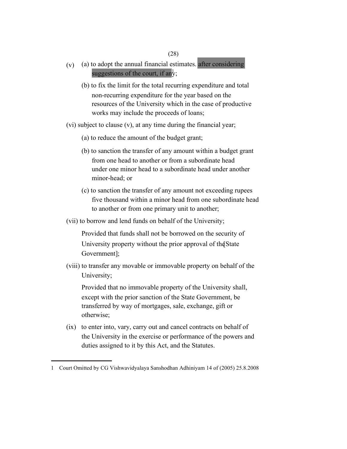# (28)

- (v) (a) to adopt the annual financial estimates. after considering suggestions of the court, if any;
	- (b) to fix the limit for the total recurring expenditure and total non-recurring expenditure for the year based on the resources of the University which in the case of productive works may include the proceeds of loans;
- (vi) subject to clause (v), at any time during the financial year;
	- (a) to reduce the amount of the budget grant;
	- (b) to sanction the transfer of any amount within a budget grant from one head to another or from a subordinate head under one minor head to a subordinate head under another minor-head; or
	- (c) to sanction the transfer of any amount not exceeding rupees five thousand within a minor head from one subordinate head to another or from one primary unit to another;
- (vii) to borrow and lend funds on behalf of the University;

Provided that funds shall not be borrowed on the security of University property without the prior approval of the State Government];

(viii) to transfer any movable or immovable property on behalf of the University;

Provided that no immovable property of the University shall, except with the prior sanction of the State Government, be transferred by way of mortgages, sale, exchange, gift or otherwise;

(ix) to enter into, vary, carry out and cancel contracts on behalf of the University in the exercise or performance of the powers and duties assigned to it by this Act, and the Statutes.

<sup>1</sup> Court Omitted by CG Vishwavidyalaya Sanshodhan Adhiniyam 14 of (2005) 25.8.2008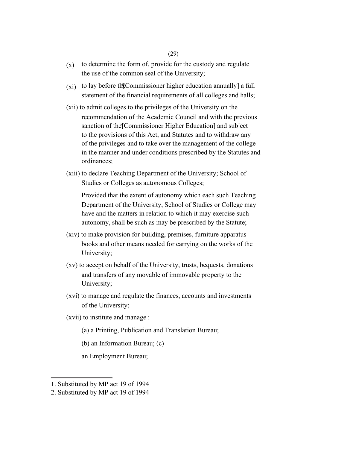# (29)

- $(x)$ to determine the form of, provide for the custody and regulate the use of the common seal of the University;
- $(x_i)$  to lay before the Commissioner higher education annually] a full statement of the financial requirements of all colleges and halls;
- (xii) to admit colleges to the privileges of the University on the recommendation of the Academic Council and with the previous sanction of the [Commissioner Higher Education] and subject to the provisions of this Act, and Statutes and to withdraw any of the privileges and to take over the management of the college in the manner and under conditions prescribed by the Statutes and ordinances;
- (xiii) to declare Teaching Department of the University; School of Studies or Colleges as autonomous Colleges;

Provided that the extent of autonomy which each such Teaching Department of the University, School of Studies or College may have and the matters in relation to which it may exercise such autonomy, shall be such as may be prescribed by the Statute;

- (xiv) to make provision for building, premises, furniture apparatus books and other means needed for carrying on the works of the University;
- (xv) to accept on behalf of the University, trusts, bequests, donations and transfers of any movable of immovable property to the University;
- (xvi) to manage and regulate the finances, accounts and investments of the University;
- (xvii) to institute and manage :
	- (a) a Printing, Publication and Translation Bureau;
	- (b) an Information Bureau; (c)

an Employment Bureau;

<sup>1.</sup> Substituted by MP act 19 of 1994

<sup>2.</sup> Substituted by MP act 19 of 1994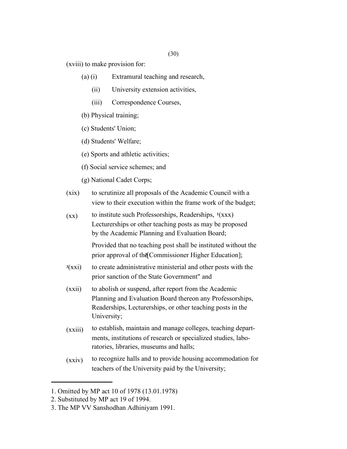(30)

(xviii) to make provision for:

- (a) (i) Extramural teaching and research,
	- (ii) University extension activities,
	- (iii) Correspondence Courses,
- (b) Physical training;
- (c) Students' Union;
- (d) Students' Welfare;
- (e) Sports and athletic activities;
- (f) Social service schemes; and
- (g) National Cadet Corps;
- $(xix)$ to scrutinize all proposals of the Academic Council with a view to their execution within the frame work of the budget;
- $(xx)$ to institute such Professorships, Readerships, **<sup>1</sup>**(xxx) Lecturerships or other teaching posts as may be proposed by the Academic Planning and Evaluation Board;

Provided that no teaching post shall be instituted without the prior approval of the Commissioner Higher Education];

- **<sup>3</sup>**(xxi) to create administrative ministerial and other posts with the prior sanction of the State Government" and
- (xxii) to abolish or suspend, after report from the Academic Planning and Evaluation Board thereon any Professorships, Readerships, Lecturerships, or other teaching posts in the University;
- $(xxiii)$ to establish, maintain and manage colleges, teaching departments, institutions of research or specialized studies, laboratories, libraries, museums and halls;
- (xxiv) to recognize halls and to provide housing accommodation for teachers of the University paid by the University;

<sup>1.</sup> Omitted by MP act 10 of 1978 (13.01.1978)

<sup>2.</sup> Substituted by MP act 19 of 1994.

<sup>3.</sup> The MP VV Sanshodhan Adhiniyam 1991.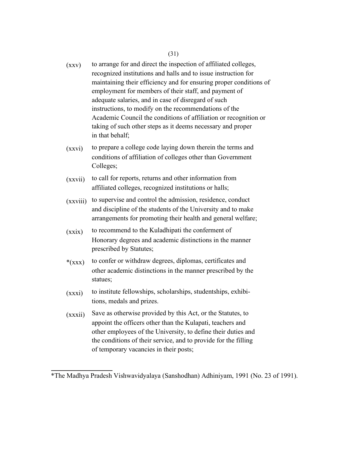- $(xxy)$ to arrange for and direct the inspection of affiliated colleges, recognized institutions and halls and to issue instruction for maintaining their efficiency and for ensuring proper conditions of employment for members of their staff, and payment of adequate salaries, and in case of disregard of such instructions, to modify on the recommendations of the Academic Council the conditions of affiliation or recognition or taking of such other steps as it deems necessary and proper in that behalf;
- (xxvi) to prepare a college code laying down therein the terms and conditions of affiliation of colleges other than Government Colleges;
- (xxvii) to call for reports, returns and other information from affiliated colleges, recognized institutions or halls;
- (xxviii) to supervise and control the admission, residence, conduct and discipline of the students of the University and to make arrangements for promoting their health and general welfare;
- $(xxix)$ to recommend to the Kuladhipati the conferment of Honorary degrees and academic distinctions in the manner prescribed by Statutes;
- $*(xxx)$ to confer or withdraw degrees, diplomas, certificates and other academic distinctions in the manner prescribed by the statues;
- (xxxi) to institute fellowships, scholarships, studentships, exhibitions, medals and prizes.
- $(xxxii)$ Save as otherwise provided by this Act, or the Statutes, to appoint the officers other than the Kulapati, teachers and other employees of the University, to define their duties and the conditions of their service, and to provide for the filling of temporary vacancies in their posts;

<sup>\*</sup>The Madhya Pradesh Vishwavidyalaya (Sanshodhan) Adhiniyam, 1991 (No. 23 of 1991).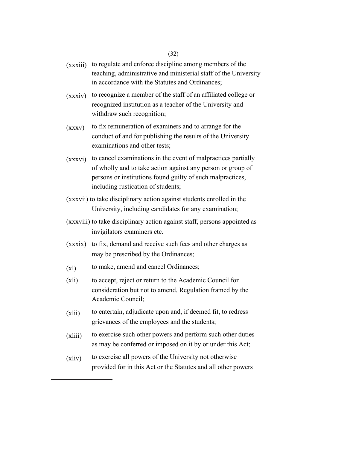- (xxxiii) to regulate and enforce discipline among members of the teaching, administrative and ministerial staff of the University in accordance with the Statutes and Ordinances;
- (xxxiv) to recognize a member of the staff of an affiliated college or recognized institution as a teacher of the University and withdraw such recognition;
- (xxxv) to fix remuneration of examiners and to arrange for the conduct of and for publishing the results of the University examinations and other tests;
- (xxxvi) to cancel examinations in the event of malpractices partially of wholly and to take action against any person or group of persons or institutions found guilty of such malpractices, including rustication of students;
- (xxxvii) to take disciplinary action against students enrolled in the University, including candidates for any examination;
- (xxxviii) to take disciplinary action against staff, persons appointed as invigilators examiners etc.
- (xxxix) to fix, demand and receive such fees and other charges as may be prescribed by the Ordinances;
- (xl) to make, amend and cancel Ordinances;
- (xli) to accept, reject or return to the Academic Council for consideration but not to amend, Regulation framed by the Academic Council;
- (xlii) to entertain, adjudicate upon and, if deemed fit, to redress grievances of the employees and the students;
- $(xliii)$ to exercise such other powers and perform such other duties as may be conferred or imposed on it by or under this Act;
- (xliv) to exercise all powers of the University not otherwise provided for in this Act or the Statutes and all other powers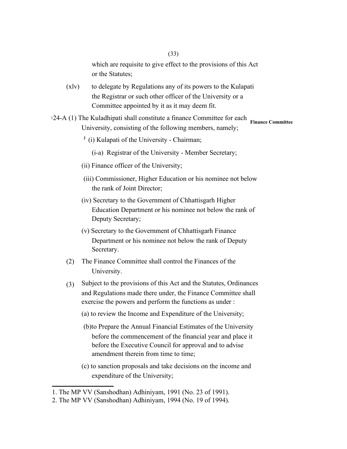which are requisite to give effect to the provisions of this Act or the Statutes;

- (xlv) to delegate by Regulations any of its powers to the Kulapati the Registrar or such other officer of the University or a Committee appointed by it as it may deem fit.
- <sup>1</sup>24-A (1) The Kuladhipati shall constitute a finance Committee for each **Finance Committee**  University, consisting of the following members, namely;
	- **2**  (i) Kulapati of the University Chairman;
		- (i-a) Registrar of the University Member Secretary;
	- (ii) Finance officer of the University;
	- (iii) Commissioner, Higher Education or his nominee not below the rank of Joint Director;
	- (iv) Secretary to the Government of Chhattisgarh Higher Education Department or his nominee not below the rank of Deputy Secretary;
	- (v) Secretary to the Government of Chhattisgarh Finance Department or his nominee not below the rank of Deputy Secretary.
	- (2) The Finance Committee shall control the Finances of the University.
	- (3) Subject to the provisions of this Act and the Statutes, Ordinances and Regulations made there under, the Finance Committee shall exercise the powers and perform the functions as under :
		- (a) to review the Income and Expenditure of the University;
		- (b)to Prepare the Annual Financial Estimates of the University before the commencement of the financial year and place it before the Executive Council for approval and to advise amendment therein from time to time;
		- (c) to sanction proposals and take decisions on the income and expenditure of the University;

<sup>1.</sup> The MP VV (Sanshodhan) Adhiniyam, 1991 (No. 23 of 1991).

<sup>2.</sup> The MP VV (Sanshodhan) Adhiniyam, 1994 (No. 19 of 1994).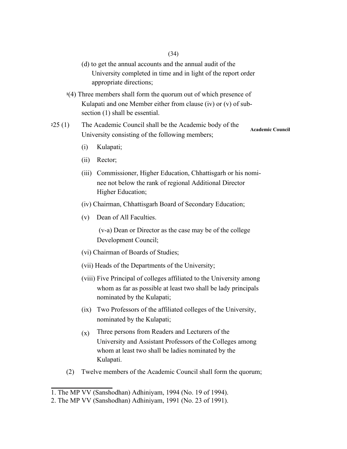- (d) to get the annual accounts and the annual audit of the University completed in time and in light of the report order appropriate directions;
- **<sup>1</sup>**(4) Three members shall form the quorum out of which presence of Kulapati and one Member either from clause (iv) or (v) of subsection (1) shall be essential.
- **<sup>2</sup>**25 (1) The Academic Council shall be the Academic body of the University consisting of the following members; **Academic Council** 
	- (i) Kulapati;
	- (ii) Rector;
	- (iii) Commissioner, Higher Education, Chhattisgarh or his nominee not below the rank of regional Additional Director Higher Education;
	- (iv) Chairman, Chhattisgarh Board of Secondary Education;
	- (v) Dean of All Faculties.

(v-a) Dean or Director as the case may be of the college Development Council;

- (vi) Chairman of Boards of Studies;
- (vii) Heads of the Departments of the University;
- (viii) Five Principal of colleges affiliated to the University among whom as far as possible at least two shall be lady principals nominated by the Kulapati;
- (ix) Two Professors of the affiliated colleges of the University, nominated by the Kulapati;
- (x) Three persons from Readers and Lecturers of the University and Assistant Professors of the Colleges among whom at least two shall be ladies nominated by the Kulapati.
- (2) Twelve members of the Academic Council shall form the quorum;

<sup>1.</sup> The MP VV (Sanshodhan) Adhiniyam, 1994 (No. 19 of 1994).

<sup>2.</sup> The MP VV (Sanshodhan) Adhiniyam, 1991 (No. 23 of 1991).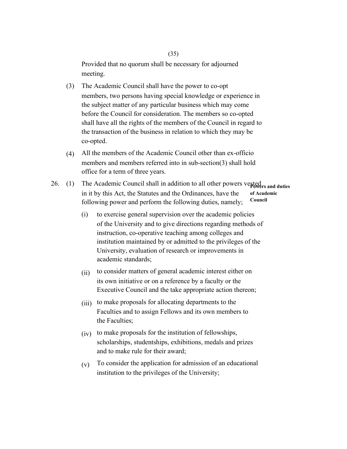Provided that no quorum shall be necessary for adjourned meeting.

- (3) The Academic Council shall have the power to co-opt members, two persons having special knowledge or experience in the subject matter of any particular business which may come before the Council for consideration. The members so co-opted shall have all the rights of the members of the Council in regard to the transaction of the business in relation to which they may be co-opted.
- (4) All the members of the Academic Council other than ex-officio members and members referred into in sub-section(3) shall hold office for a term of three years.
- 26. (1) The Academic Council shall in addition to all other powers vested and duties in it by this Act, the Statutes and the Ordinances, have the following power and perform the following duties, namely; **of Academic Council** 
	- (i) to exercise general supervision over the academic policies of the University and to give directions regarding methods of instruction, co-operative teaching among colleges and institution maintained by or admitted to the privileges of the University, evaluation of research or improvements in academic standards;
	- (ii) to consider matters of general academic interest either on its own initiative or on a reference by a faculty or the Executive Council and the take appropriate action thereon;
	- (iii) to make proposals for allocating departments to the Faculties and to assign Fellows and its own members to the Faculties;
	- (iv) to make proposals for the institution of fellowships, scholarships, studentships, exhibitions, medals and prizes and to make rule for their award;
	- (v) To consider the application for admission of an educational institution to the privileges of the University;

# (35)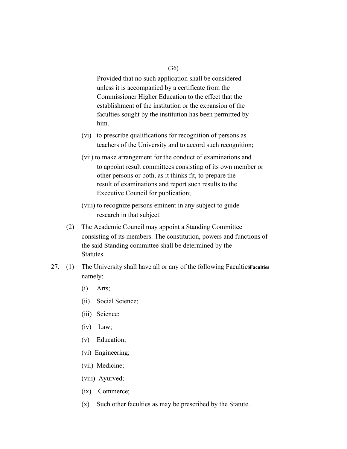Provided that no such application shall be considered unless it is accompanied by a certificate from the Commissioner Higher Education to the effect that the establishment of the institution or the expansion of the faculties sought by the institution has been permitted by him.

- (vi) to prescribe qualifications for recognition of persons as teachers of the University and to accord such recognition;
- (vii) to make arrangement for the conduct of examinations and to appoint result committees consisting of its own member or other persons or both, as it thinks fit, to prepare the result of examinations and report such results to the Executive Council for publication;
- (viii) to recognize persons eminent in any subject to guide research in that subject.
- (2) The Academic Council may appoint a Standing Committee consisting of its members. The constitution, powers and functions of the said Standing committee shall be determined by the Statutes.
- 27. (1) The University shall have all or any of the following Faculties **Faculties** namely:
	- (i) Arts;
	- (ii) Social Science;
	- (iii) Science;
	- (iv) Law;
	- (v) Education;
	- (vi) Engineering;
	- (vii) Medicine;
	- (viii) Ayurved;
	- (ix) Commerce;
	- (x) Such other faculties as may be prescribed by the Statute.

(36)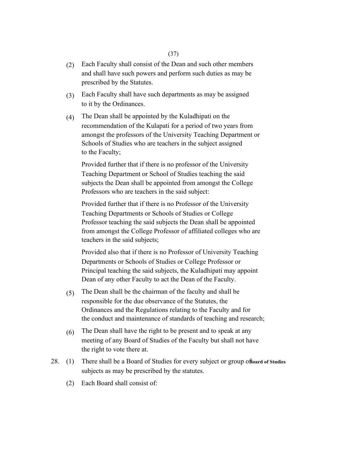- (2) Each Faculty shall consist of the Dean and such other members and shall have such powers and perform such duties as may be prescribed by the Statutes.
- (3) Each Faculty shall have such departments as may be assigned to it by the Ordinances.
- (4) The Dean shall be appointed by the Kuladhipati on the recommendation of the Kulapati for a period of two years from amongst the professors of the University Teaching Department or Schools of Studies who are teachers in the subject assigned to the Faculty;

Provided further that if there is no professor of the University Teaching Department or School of Studies teaching the said subjects the Dean shall be appointed from amongst the College Professors who are teachers in the said subject:

Provided further that if there is no Professor of the University Teaching Departments or Schools of Studies or College Professor teaching the said subjects the Dean shall be appointed from amongst the College Professor of affiliated colleges who are teachers in the said subjects;

Provided also that if there is no Professor of University Teaching Departments or Schools of Studies or College Professor or Principal teaching the said subjects, the Kuladhipati may appoint Dean of any other Faculty to act the Dean of the Faculty.

- (5) The Dean shall be the chairman of the faculty and shall be responsible for the due observance of the Statutes, the Ordinances and the Regulations relating to the Faculty and for the conduct and maintenance of standards of teaching and research;
- (6) The Dean shall have the right to be present and to speak at any meeting of any Board of Studies of the Faculty but shall not have the right to vote there at.
- 28. (1) There shall be a Board of Studies for every subject or group of **Board of Studies**  subjects as may be prescribed by the statutes.
	- (2) Each Board shall consist of: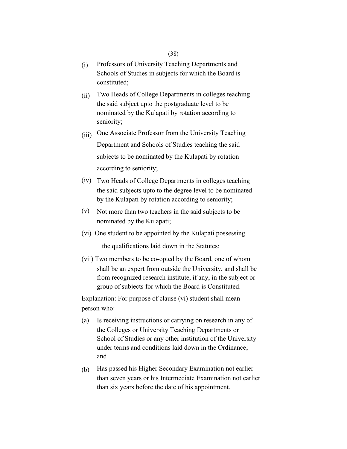## (38)

- (i) Professors of University Teaching Departments and Schools of Studies in subjects for which the Board is constituted;
- (ii) Two Heads of College Departments in colleges teaching the said subject upto the postgraduate level to be nominated by the Kulapati by rotation according to seniority;
- (iii) One Associate Professor from the University Teaching Department and Schools of Studies teaching the said subjects to be nominated by the Kulapati by rotation according to seniority;
- (iv) Two Heads of College Departments in colleges teaching the said subjects upto to the degree level to be nominated by the Kulapati by rotation according to seniority;
- (v) Not more than two teachers in the said subjects to be nominated by the Kulapati;
- (vi) One student to be appointed by the Kulapati possessing the qualifications laid down in the Statutes;
- (vii) Two members to be co-opted by the Board, one of whom shall be an expert from outside the University, and shall be from recognized research institute, if any, in the subject or group of subjects for which the Board is Constituted.

Explanation: For purpose of clause (vi) student shall mean person who:

- (a) Is receiving instructions or carrying on research in any of the Colleges or University Teaching Departments or School of Studies or any other institution of the University under terms and conditions laid down in the Ordinance; and
- (b) Has passed his Higher Secondary Examination not earlier than seven years or his Intermediate Examination not earlier than six years before the date of his appointment.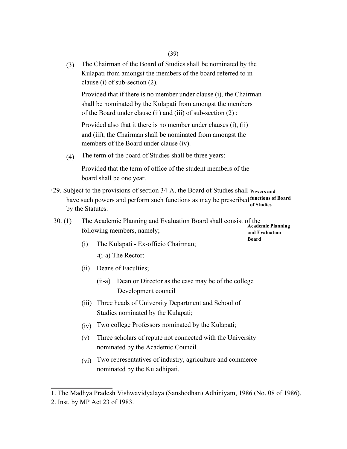(3) The Chairman of the Board of Studies shall be nominated by the Kulapati from amongst the members of the board referred to in clause (i) of sub-section (2).

Provided that if there is no member under clause (i), the Chairman shall be nominated by the Kulapati from amongst the members of the Board under clause (ii) and (iii) of sub-section (2) :

Provided also that it there is no member under clauses (i), (ii) and (iii), the Chairman shall be nominated from amongst the members of the Board under clause (iv).

(4) The term of the board of Studies shall be three years:

Provided that the term of office of the student members of the board shall be one year.

129. Subject to the provisions of section 34-A, the Board of Studies shall **Powers and** have such powers and perform such functions as may be prescribed **functions of Board**  by the Statutes. **of Studies** 

| 30. (1) | The Academic Planning and Evaluation Board shall consist of the |                          |
|---------|-----------------------------------------------------------------|--------------------------|
|         |                                                                 | <b>Academic Planning</b> |
|         | following members, namely;                                      | and Evaluation           |

**Board** 

- (i) The Kulapati Ex-officio Chairman; <sup>2</sup>(i-a) The Rector;
- (ii) Deans of Faculties;
	- (ii-a) Dean or Director as the case may be of the college Development council
- (iii) Three heads of University Department and School of Studies nominated by the Kulapati;
- (iv) Two college Professors nominated by the Kulapati;
- (v) Three scholars of repute not connected with the University nominated by the Academic Council.
- (vi) Two representatives of industry, agriculture and commerce nominated by the Kuladhipati.

<sup>1.</sup> The Madhya Pradesh Vishwavidyalaya (Sanshodhan) Adhiniyam, 1986 (No. 08 of 1986).

<sup>2.</sup> Inst. by MP Act 23 of 1983.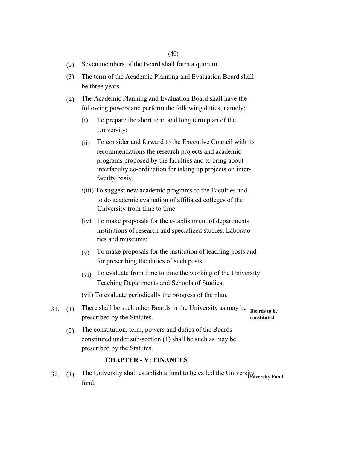- (2) Seven members of the Board shall form a quorum.
- (3) The term of the Academic Planning and Evaluation Board shall be three years.
- (4) The Academic Planning and Evaluation Board shall have the following powers and perform the following duties, namely;
	- (i) To prepare the short term and long term plan of the University;
	- (ii) To consider and forward to the Executive Council with its recommendations the research projects and academic programs proposed by the faculties and to bring about interfaculty co-ordination for taking up projects on interfaculty basis;
	- <sup>1</sup>(iii) To suggest new academic programs to the Faculties and to do academic evaluation of affiliated colleges of the University from time to time.
	- (iv) To make proposals for the establishment of departments institutions of research and specialized studies, Laboratories and museums;
	- (v) To make proposals for the institution of teaching posts and for prescribing the duties of such posts;
	- (vi) To evaluate from time to time the working of the University Teaching Departments and Schools of Studies;
	- (vii) To evaluate periodically the progress of the plan.
- 31. (1) There shall be such other Boards in the University as may be prescribed by the Statutes. **Boards to be** 
	- **constituted**
	- (2) The constitution, term, powers and duties of the Boards constituted under sub-section (1) shall be such as may be prescribed by the Statutes.

# **CHAPTER - V: FINANCES**

32. (1) The University shall establish a fund to be called the University **University Fund** fund;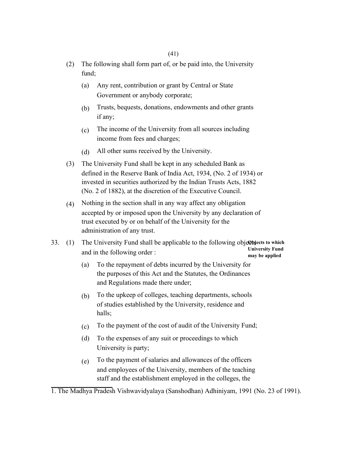- (2) The following shall form part of, or be paid into, the University fund;
	- (a) Any rent, contribution or grant by Central or State Government or anybody corporate;
	- (b) Trusts, bequests, donations, endowments and other grants if any;
	- (c) The income of the University from all sources including income from fees and charges;
	- (d) All other sums received by the University.
- (3) The University Fund shall be kept in any scheduled Bank as defined in the Reserve Bank of India Act, 1934, (No. 2 of 1934) or invested in securities authorized by the Indian Trusts Acts, 1882 (No. 2 of 1882), at the discretion of the Executive Council.
- (4) Nothing in the section shall in any way affect any obligation accepted by or imposed upon the University by any declaration of trust executed by or on behalf of the University for the administration of any trust.
- 33. (1) The University Fund shall be applicable to the following objectus to which and in the following order : **University Fund may be applied** 
	- (a) To the repayment of debts incurred by the University for the purposes of this Act and the Statutes, the Ordinances and Regulations made there under;
	- (b) To the upkeep of colleges, teaching departments, schools of studies established by the University, residence and halls;
	- (c) To the payment of the cost of audit of the University Fund;
	- (d) To the expenses of any suit or proceedings to which University is party;
	- (e) To the payment of salaries and allowances of the officers and employees of the University, members of the teaching staff and the establishment employed in the colleges, the

1. The Madhya Pradesh Vishwavidyalaya (Sanshodhan) Adhiniyam, 1991 (No. 23 of 1991).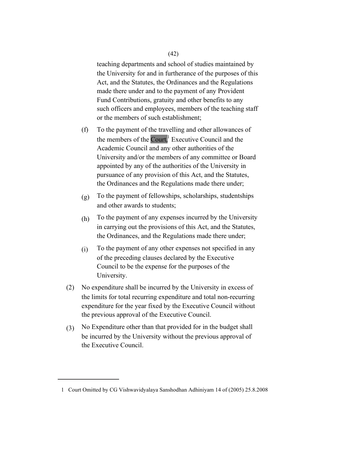teaching departments and school of studies maintained by the University for and in furtherance of the purposes of this Act, and the Statutes, the Ordinances and the Regulations made there under and to the payment of any Provident Fund Contributions, gratuity and other benefits to any such officers and employees, members of the teaching staff or the members of such establishment;

- (f) To the payment of the travelling and other allowances of the members of the Court,<sup>1</sup> Executive Council and the the Ordinances and the Regulations made there under; Academic Council and any other authorities of the University and/or the members of any committee or Board appointed by any of the authorities of the University in pursuance of any provision of this Act, and the Statutes,
- (g) To the payment of fellowships, scholarships, studentships and other awards to students;
- (h) To the payment of any expenses incurred by the University in carrying out the provisions of this Act, and the Statutes, the Ordinances, and the Regulations made there under;
- (i) To the payment of any other expenses not specified in any of the preceding clauses declared by the Executive Council to be the expense for the purposes of the University.
- (2) No expenditure shall be incurred by the University in excess of the limits for total recurring expenditure and total non-recurring expenditure for the year fixed by the Executive Council without the previous approval of the Executive Council.
- (3) No Expenditure other than that provided for in the budget shall be incurred by the University without the previous approval of the Executive Council.

<sup>1</sup> Court Omitted by CG Vishwavidyalaya Sanshodhan Adhiniyam 14 of (2005) 25.8.2008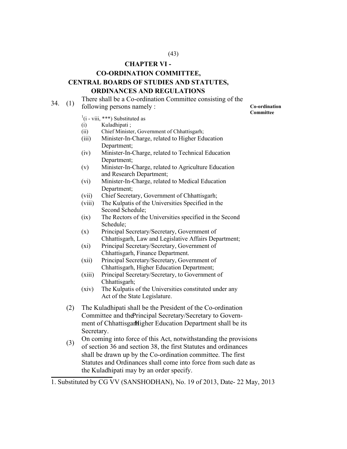# **CHAPTER VI -**

# **CO-ORDINATION COMMITTEE, CENTRAL BOARDS OF STUDIES AND STATUTES,**

# **ORDINANCES AND REGULATIONS**

# $34.$  (1) There shall be a Co-ordination Committee consisting of the

following persons namely : **Co-**ordination

 $\left($ i - viii, \*\*\*) Substituted as

- (i) Kuladhipati ;
- (ii) Chief Minister, Government of Chhattisgarh;
- (iii) Minister-In-Charge, related to Higher Education Department;
- (iv) Minister-In-Charge, related to Technical Education Department;
- (v) Minister-In-Charge, related to Agriculture Education and Research Department;
- (vi) Minister-In-Charge, related to Medical Education Department;
- (vii) Chief Secretary, Government of Chhattisgarh;
- (viii) The Kulpatis of the Universities Specified in the Second Schedule;
- (ix) The Rectors of the Universities specified in the Second Schedule;
- (x) Principal Secretary/Secretary, Government of Chhattisgarh, Law and Legislative Affairs Department;
- (xi) Principal Secretary/Secretary, Government of Chhattisgarh, Finance Department.
- (xii) Principal Secretary/Secretary, Government of Chhattisgarh, Higher Education Department;
- (xiii) Principal Secretary/Secretary, to Government of Chhattisgarh;
- (xiv) The Kulpatis of the Universities constituted under any Act of the State Legislature.
- (2) The Kuladhipati shall be the President of the Co-ordination Committee and thePrincipal Secretary/Secretary to Government of Chhattisgar Higher Education Department shall be its Secretary.
- (3) On coming into force of this Act, notwithstanding the provisions of section 36 and section 38, the first Statutes and ordinances shall be drawn up by the Co-ordination committee. The first Statutes and Ordinances shall come into force from such date as the Kuladhipati may by an order specify.

**Committee** 

<sup>1.</sup> Substituted by CG VV (SANSHODHAN), No. 19 of 2013, Date- 22 May, 2013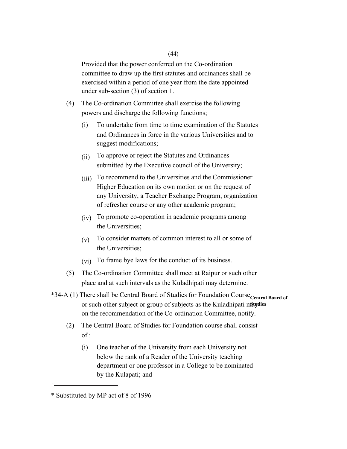Provided that the power conferred on the Co-ordination committee to draw up the first statutes and ordinances shall be exercised within a period of one year from the date appointed under sub-section (3) of section 1.

- (4) The Co-ordination Committee shall exercise the following powers and discharge the following functions;
	- (i) To undertake from time to time examination of the Statutes and Ordinances in force in the various Universities and to suggest modifications;
	- (ii) To approve or reject the Statutes and Ordinances submitted by the Executive council of the University;
	- (iii) To recommend to the Universities and the Commissioner Higher Education on its own motion or on the request of any University, a Teacher Exchange Program, organization of refresher course or any other academic program;
	- (iv) To promote co-operation in academic programs among the Universities;
	- (v) To consider matters of common interest to all or some of the Universities;
	- (vi) To frame bye laws for the conduct of its business.
- (5) The Co-ordination Committee shall meet at Raipur or such other place and at such intervals as the Kuladhipati may determine.
- \*34-A (1) There shall be Central Board of Studies for Foundation Course<sub>Central</sub> Board of or such other subject or group of subjects as the Kuladhipati matydies on the recommendation of the Co-ordination Committee, notify.
	- (2) The Central Board of Studies for Foundation course shall consist of :
		- (i) One teacher of the University from each University not below the rank of a Reader of the University teaching department or one professor in a College to be nominated by the Kulapati; and

<sup>\*</sup> Substituted by MP act of 8 of 1996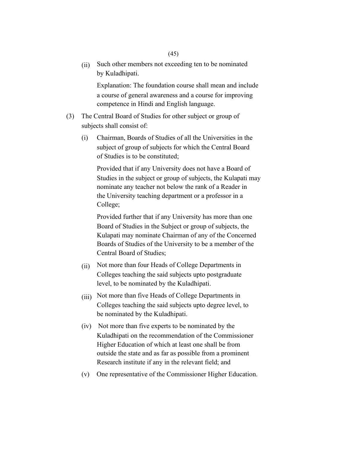(ii) Such other members not exceeding ten to be nominated by Kuladhipati.

Explanation: The foundation course shall mean and include a course of general awareness and a course for improving competence in Hindi and English language.

- (3) The Central Board of Studies for other subject or group of subjects shall consist of:
	- (i) Chairman, Boards of Studies of all the Universities in the subject of group of subjects for which the Central Board of Studies is to be constituted;

Provided that if any University does not have a Board of Studies in the subject or group of subjects, the Kulapati may nominate any teacher not below the rank of a Reader in the University teaching department or a professor in a College;

Provided further that if any University has more than one Board of Studies in the Subject or group of subjects, the Kulapati may nominate Chairman of any of the Concerned Boards of Studies of the University to be a member of the Central Board of Studies;

- (ii) Not more than four Heads of College Departments in Colleges teaching the said subjects upto postgraduate level, to be nominated by the Kuladhipati.
- (iii) Not more than five Heads of College Departments in Colleges teaching the said subjects upto degree level, to be nominated by the Kuladhipati.
- (iv) Not more than five experts to be nominated by the Kuladhipati on the recommendation of the Commissioner Higher Education of which at least one shall be from outside the state and as far as possible from a prominent Research institute if any in the relevant field; and
- (v) One representative of the Commissioner Higher Education.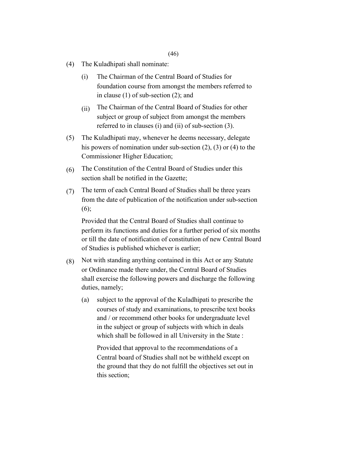#### (46)

- (4) The Kuladhipati shall nominate:
	- (i) The Chairman of the Central Board of Studies for foundation course from amongst the members referred to in clause (1) of sub-section (2); and
	- (ii) The Chairman of the Central Board of Studies for other subject or group of subject from amongst the members referred to in clauses (i) and (ii) of sub-section (3).
- (5) The Kuladhipati may, whenever he deems necessary, delegate his powers of nomination under sub-section (2), (3) or (4) to the Commissioner Higher Education;
- $(6)$ The Constitution of the Central Board of Studies under this section shall be notified in the Gazette;
- (7) The term of each Central Board of Studies shall be three years from the date of publication of the notification under sub-section (6);

Provided that the Central Board of Studies shall continue to perform its functions and duties for a further period of six months or till the date of notification of constitution of new Central Board of Studies is published whichever is earlier;

- (8) Not with standing anything contained in this Act or any Statute or Ordinance made there under, the Central Board of Studies shall exercise the following powers and discharge the following duties, namely;
	- (a) subject to the approval of the Kuladhipati to prescribe the courses of study and examinations, to prescribe text books and / or recommend other books for undergraduate level in the subject or group of subjects with which in deals which shall be followed in all University in the State :

Provided that approval to the recommendations of a Central board of Studies shall not be withheld except on the ground that they do not fulfill the objectives set out in this section;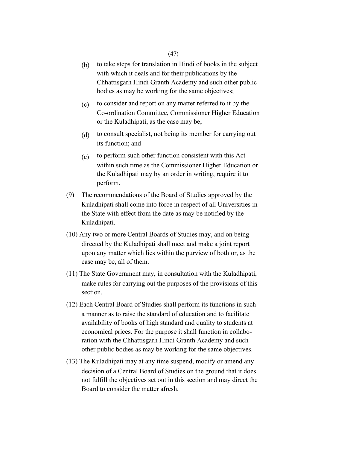- (b) to take steps for translation in Hindi of books in the subject with which it deals and for their publications by the Chhattisgarh Hindi Granth Academy and such other public bodies as may be working for the same objectives;
- (c) to consider and report on any matter referred to it by the Co-ordination Committee, Commissioner Higher Education or the Kuladhipati, as the case may be;
- (d) to consult specialist, not being its member for carrying out its function; and
- (e) to perform such other function consistent with this Act within such time as the Commissioner Higher Education or the Kuladhipati may by an order in writing, require it to perform.
- (9) The recommendations of the Board of Studies approved by the Kuladhipati shall come into force in respect of all Universities in the State with effect from the date as may be notified by the Kuladhipati.
- (10) Any two or more Central Boards of Studies may, and on being directed by the Kuladhipati shall meet and make a joint report upon any matter which lies within the purview of both or, as the case may be, all of them.
- (11) The State Government may, in consultation with the Kuladhipati, make rules for carrying out the purposes of the provisions of this section.
- (12) Each Central Board of Studies shall perform its functions in such a manner as to raise the standard of education and to facilitate availability of books of high standard and quality to students at economical prices. For the purpose it shall function in collaboration with the Chhattisgarh Hindi Granth Academy and such other public bodies as may be working for the same objectives.
- (13) The Kuladhipati may at any time suspend, modify or amend any decision of a Central Board of Studies on the ground that it does not fulfill the objectives set out in this section and may direct the Board to consider the matter afresh.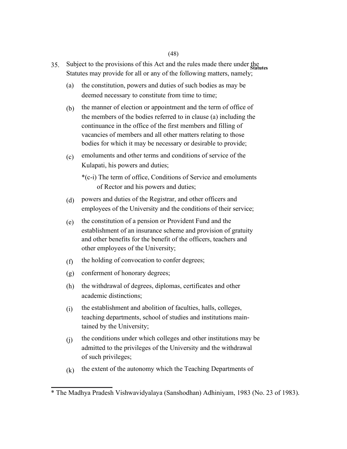- 35. Subject to the provisions of this Act and the rules made there under the statures Statutes may provide for all or any of the following matters, namely;
	- (a) the constitution, powers and duties of such bodies as may be deemed necessary to constitute from time to time;
	- (b) the manner of election or appointment and the term of office of the members of the bodies referred to in clause (a) including the continuance in the office of the first members and filling of vacancies of members and all other matters relating to those bodies for which it may be necessary or desirable to provide;
	- $(c)$ emoluments and other terms and conditions of service of the Kulapati, his powers and duties;

\*(c-i) The term of office, Conditions of Service and emoluments of Rector and his powers and duties;

- (d) powers and duties of the Registrar, and other officers and employees of the University and the conditions of their service;
- (e) the constitution of a pension or Provident Fund and the establishment of an insurance scheme and provision of gratuity and other benefits for the benefit of the officers, teachers and other employees of the University;
- (f) the holding of convocation to confer degrees;
- (g) conferment of honorary degrees;
- (h) the withdrawal of degrees, diplomas, certificates and other academic distinctions;
- (i) the establishment and abolition of faculties, halls, colleges, teaching departments, school of studies and institutions maintained by the University;
- (j) the conditions under which colleges and other institutions may be admitted to the privileges of the University and the withdrawal of such privileges;
- (k) the extent of the autonomy which the Teaching Departments of

<sup>\*</sup> The Madhya Pradesh Vishwavidyalaya (Sanshodhan) Adhiniyam, 1983 (No. 23 of 1983).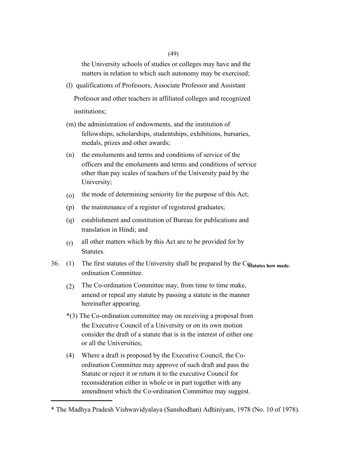(49)

the University schools of studies or colleges may have and the matters in relation to which such autonomy may be exercised;

(l) qualifications of Professors, Associate Professor and Assistant

Professor and other teachers in affiliated colleges and recognized institutions;

- (m) the administration of endowments, and the institution of fellowships, scholarships, studentships, exhibitions, bursaries, medals, prizes and other awards;
- (n) the emoluments and terms and conditions of service of the officers and the emoluments and terms and conditions of service other than pay scales of teachers of the University paid by the University;
- (o) the mode of determining seniority for the purpose of this Act;
- (p) the maintenance of a register of registered graduates;
- (q) establishment and constitution of Bureau for publications and translation in Hindi; and
- (r) all other matters which by this Act are to be provided for by Statutes.
- 36. (1) The first statutes of the University shall be prepared by the C<sub>Statutes how made.</sub> ordination Committee.
	- (2) The Co-ordination Committee may, from time to time make, amend or repeal any statute by passing a statute in the manner hereinafter appearing.
	- \*(3) The Co-ordination committee may on receiving a proposal from the Executive Council of a University or on its own motion consider the draft of a statute that is in the interest of either one or all the Universities;
	- (4) Where a draft is proposed by the Executive Council, the Coordination Committee may approve of such draft and pass the Statute or reject it or return it to the executive Council for reconsideration either in whole or in part together with any amendment which the Co-ordination Committee may suggest.

<sup>\*</sup> The Madhya Pradesh Vishwavidyalaya (Sanshodhan) Adhiniyam, 1978 (No. 10 of 1978).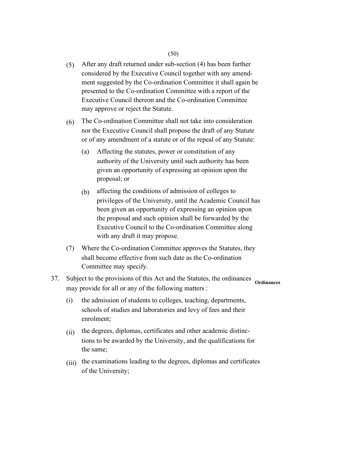- (5) After any draft returned under sub-section (4) has been further considered by the Executive Council together with any amendment suggested by the Co-ordination Committee it shall again be presented to the Co-ordination Committee with a report of the Executive Council thereon and the Co-ordination Committee may approve or reject the Statute.
- (6) The Co-ordination Committee shall not take into consideration nor the Executive Council shall propose the draft of any Statute or of any amendment of a statute or of the repeal of any Statute:
	- (a) Affecting the statutes, power or constitution of any authority of the University until such authority has been given an opportunity of expressing an opinion upon the proposal; or
	- (b) affecting the conditions of admission of colleges to privileges of the University, until the Academic Council has been given an opportunity of expressing an opinion upon the proposal and such opinion shall be forwarded by the Executive Council to the Co-ordination Committee along with any draft it may propose.
- (7) Where the Co-ordination Committee approves the Statutes, they shall become effective from such date as the Co-ordination Committee may specify.
- 37. Subject to the provisions of this Act and the Statutes, the ordinances may provide for all or any of the following matters : **Ordinances** 
	- (i) the admission of students to colleges, teaching, departments, schools of studies and laboratories and levy of fees and their enrolment;
	- $(ii)$ the degrees, diplomas, certificates and other academic distinctions to be awarded by the University, and the qualifications for the same;
	- (iii) the examinations leading to the degrees, diplomas and certificates of the University;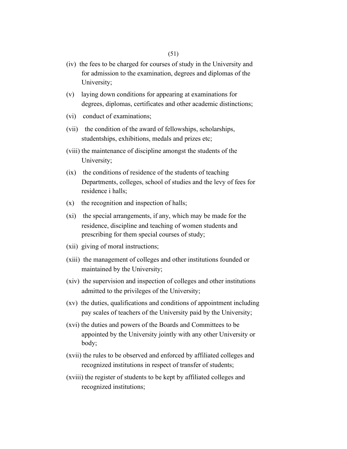- (iv) the fees to be charged for courses of study in the University and for admission to the examination, degrees and diplomas of the University;
- (v) laying down conditions for appearing at examinations for degrees, diplomas, certificates and other academic distinctions;
- (vi) conduct of examinations;
- (vii) the condition of the award of fellowships, scholarships, studentships, exhibitions, medals and prizes etc;
- (viii) the maintenance of discipline amongst the students of the University;
- (ix) the conditions of residence of the students of teaching Departments, colleges, school of studies and the levy of fees for residence i halls;
- (x) the recognition and inspection of halls;
- (xi) the special arrangements, if any, which may be made for the residence, discipline and teaching of women students and prescribing for them special courses of study;
- (xii) giving of moral instructions;
- (xiii) the management of colleges and other institutions founded or maintained by the University;
- (xiv) the supervision and inspection of colleges and other institutions admitted to the privileges of the University;
- (xv) the duties, qualifications and conditions of appointment including pay scales of teachers of the University paid by the University;
- (xvi) the duties and powers of the Boards and Committees to be appointed by the University jointly with any other University or body;
- (xvii) the rules to be observed and enforced by affiliated colleges and recognized institutions in respect of transfer of students;
- (xviii) the register of students to be kept by affiliated colleges and recognized institutions;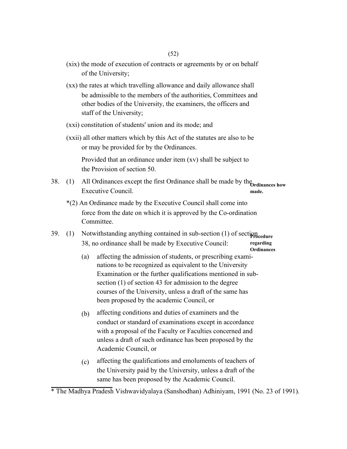- (xix) the mode of execution of contracts or agreements by or on behalf of the University;
- (xx) the rates at which travelling allowance and daily allowance shall be admissible to the members of the authorities, Committees and other bodies of the University, the examiners, the officers and staff of the University;
- (xxi) constitution of students' union and its mode; and
- (xxii) all other matters which by this Act of the statutes are also to be or may be provided for by the Ordinances.

Provided that an ordinance under item (xv) shall be subject to the Provision of section 50.

- 38. (1) All Ordinances except the first Ordinance shall be made by the **Ordinances how**  Executive Council. **made.** 
	- \*(2) An Ordinance made by the Executive Council shall come into force from the date on which it is approved by the Co-ordination Committee.
- 39. (1) Notwithstanding anything contained in sub-section (1) of section and  $(1)$ 38, no ordinance shall be made by Executive Council: **regarding Ordinances** 
	- (a) affecting the admission of students, or prescribing examinations to be recognized as equivalent to the University Examination or the further qualifications mentioned in subsection (1) of section 43 for admission to the degree courses of the University, unless a draft of the same has been proposed by the academic Council, or
	- (b) affecting conditions and duties of examiners and the conduct or standard of examinations except in accordance with a proposal of the Faculty or Faculties concerned and unless a draft of such ordinance has been proposed by the Academic Council, or
	- (c) affecting the qualifications and emoluments of teachers of the University paid by the University, unless a draft of the same has been proposed by the Academic Council.

<sup>\*</sup> The Madhya Pradesh Vishwavidyalaya (Sanshodhan) Adhiniyam, 1991 (No. 23 of 1991).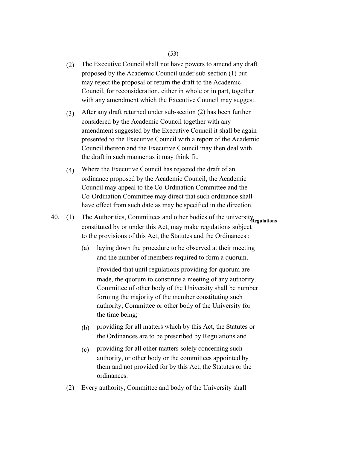- (2) The Executive Council shall not have powers to amend any draft proposed by the Academic Council under sub-section (1) but may reject the proposal or return the draft to the Academic Council, for reconsideration, either in whole or in part, together with any amendment which the Executive Council may suggest.
- (3) After any draft returned under sub-section (2) has been further considered by the Academic Council together with any amendment suggested by the Executive Council it shall be again presented to the Executive Council with a report of the Academic Council thereon and the Executive Council may then deal with the draft in such manner as it may think fit.
- (4) Where the Executive Council has rejected the draft of an ordinance proposed by the Academic Council, the Academic Council may appeal to the Co-Ordination Committee and the Co-Ordination Committee may direct that such ordinance shall have effect from such date as may be specified in the direction.
- 40. (1) The Authorities, Committees and other bodies of the university **Regulations**  constituted by or under this Act, may make regulations subject to the provisions of this Act, the Statutes and the Ordinances :
	- (a) laying down the procedure to be observed at their meeting and the number of members required to form a quorum.

Provided that until regulations providing for quorum are made, the quorum to constitute a meeting of any authority. Committee of other body of the University shall be number forming the majority of the member constituting such authority, Committee or other body of the University for the time being;

- (b) providing for all matters which by this Act, the Statutes or the Ordinances are to be prescribed by Regulations and
- (c) providing for all other matters solely concerning such authority, or other body or the committees appointed by them and not provided for by this Act, the Statutes or the ordinances.
- (2) Every authority, Committee and body of the University shall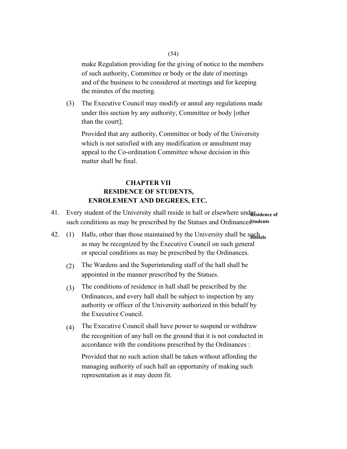make Regulation providing for the giving of notice to the members of such authority, Committee or body or the date of meetings and of the business to be considered at meetings and for keeping the minutes of the meeting.

(3) The Executive Council may modify or annul any regulations made under this section by any authority, Committee or body [other than the court];

Provided that any authority, Committee or body of the University which is not satisfied with any modification or annulment may appeal to the Co-ordination Committee whose decision in this matter shall be final.

# **CHAPTER VII RESIDENCE OF STUDENTS, ENROLEMENT AND DEGREES, ETC.**

- 41. Every student of the University shall reside in hall or elsewhere und<sub>REsidence of</sub> such conditions as may be prescribed by the Statues and Ordinancesstudents
- 42. (1) Halls, other than those maintained by the University shall be such as may be recognized by the Executive Council on such general or special conditions as may be prescribed by the Ordinances.
	- (2) The Wardens and the Superintending staff of the hall shall be appointed in the manner prescribed by the Statues.
	- (3) The conditions of residence in hall shall be prescribed by the Ordinances, and every hall shall be subject to inspection by any authority or officer of the University authorized in this behalf by the Executive Council.
	- (4) The Executive Council shall have power to suspend or withdraw the recognition of any hall on the ground that it is not conducted in accordance with the conditions prescribed by the Ordinances :

Provided that no such action shall be taken without affording the managing authority of such hall an opportunity of making such representation as it may deem fit.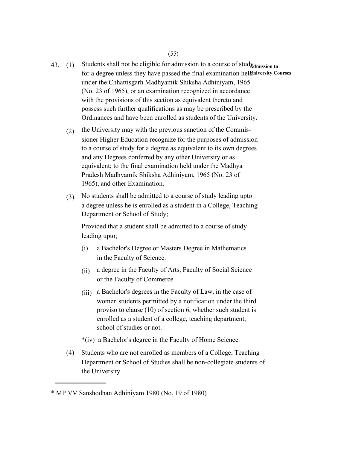- 43. (1) Students shall not be eligible for admission to a course of stud<sub>Xdmission to</sub> for a degree unless they have passed the final examination heldniversity Courses under the Chhattisgarh Madhyamik Shiksha Adhiniyam, 1965 (No. 23 of 1965), or an examination recognized in accordance with the provisions of this section as equivalent thereto and possess such further qualifications as may be prescribed by the Ordinances and have been enrolled as students of the University.
	- (2) the University may with the previous sanction of the Commissioner Higher Education recognize for the purposes of admission to a course of study for a degree as equivalent to its own degrees and any Degrees conferred by any other University or as equivalent; to the final examination held under the Madhya Pradesh Madhyamik Shiksha Adhiniyam, 1965 (No. 23 of 1965), and other Examination.
	- (3) No students shall be admitted to a course of study leading upto a degree unless he is enrolled as a student in a College, Teaching Department or School of Study;

Provided that a student shall be admitted to a course of study leading upto;

- (i) a Bachelor's Degree or Masters Degree in Mathematics in the Faculty of Science.
- (ii) a degree in the Faculty of Arts, Faculty of Social Science or the Faculty of Commerce.
- (iii) a Bachelor's degrees in the Faculty of Law, in the case of women students permitted by a notification under the third proviso to clause (10) of section 6, whether such student is enrolled as a student of a college, teaching department, school of studies or not.

\*(iv) a Bachelor's degree in the Faculty of Home Science.

(4) Students who are not enrolled as members of a College, Teaching Department or School of Studies shall be non-collegiate students of the University.

<sup>\*</sup> MP VV Sanshodhan Adhiniyam 1980 (No. 19 of 1980)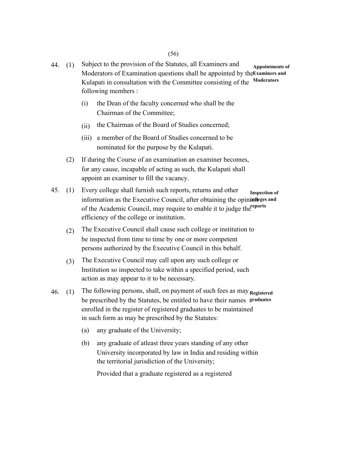- 44. (1) Subject to the provision of the Statutes, all Examiners and Moderators of Examination questions shall be appointed by the Examiners and Kulapati in consultation with the Committee consisting of the following members : **Appointments of Moderators** 
	- (i) the Dean of the faculty concerned who shall be the Chairman of the Committee;
	- (ii) the Chairman of the Board of Studies concerned;
	- (iii) a member of the Board of Studies concerned to be nominated for the purpose by the Kulapati.
	- (2) If during the Course of an examination an examiner becomes, for any cause, incapable of acting as such, the Kulapati shall appoint an examiner to fill the vacancy.
- 45. (1) Every college shall furnish such reports, returns and other information as the Executive Council, after obtaining the opinionleges and of the Academic Council, may require to enable it to judge the reports efficiency of the college or institution. **Inspection of** 
	- (2) The Executive Council shall cause such college or institution to be inspected from time to time by one or more competent persons authorized by the Executive Council in this behalf.
	- (3) The Executive Council may call upon any such college or Institution so inspected to take within a specified period, such action as may appear to it to be necessary.
- 46. (1) The following persons, shall, on payment of such fees as may **Registered**  be prescribed by the Statutes, be entitled to have their names **graduates**  enrolled in the register of registered graduates to be maintained in such form as may be prescribed by the Statutes:
	- (a) any graduate of the University;
	- (b) any graduate of atleast three years standing of any other University incorporated by law in India and residing within the territorial jurisdiction of the University;

Provided that a graduate registered as a registered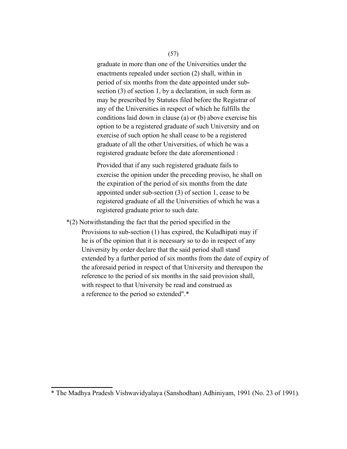#### (57)

graduate in more than one of the Universities under the enactments repealed under section (2) shall, within in period of six months from the date appointed under subsection (3) of section 1, by a declaration, in such form as may be prescribed by Statutes filed before the Registrar of any of the Universities in respect of which he fulfills the conditions laid down in clause (a) or (b) above exercise his option to be a registered graduate of such University and on exercise of such option he shall cease to be a registered graduate of all the other Universities, of which he was a registered graduate before the date aforementioned :

Provided that if any such registered graduate fails to exercise the opinion under the preceding proviso, he shall on the expiration of the period of six months from the date appointed under sub-section (3) of section 1, cease to be registered graduate of all the Universities of which he was a registered graduate prior to such date.

\*(2) Notwithstanding the fact that the period specified in the Provisions to sub-section (1) has expired, the Kuladhipati may if he is of the opinion that it is necessary so to do in respect of any University by order declare that the said period shall stand extended by a further period of six months from the date of expiry of the aforesaid period in respect of that University and thereupon the reference to the period of six months in the said provision shall, with respect to that University be read and construed as a reference to the period so extended".\*

<sup>\*</sup> The Madhya Pradesh Vishwavidyalaya (Sanshodhan) Adhiniyam, 1991 (No. 23 of 1991).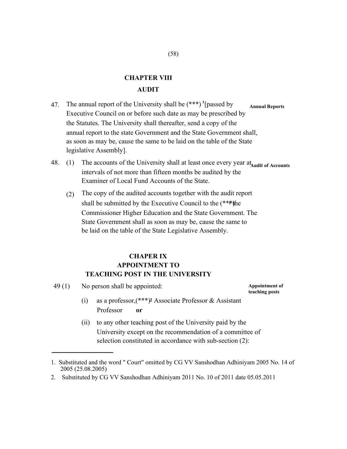# **CHAPTER VIII AUDIT**

- 47. The annual report of the University shall be (\*\*\*) **<sup>1</sup>** [passed by Executive Council on or before such date as may be prescribed by the Statutes. The University shall thereafter, send a copy of the annual report to the state Government and the State Government shall, as soon as may be, cause the same to be laid on the table of the State legislative Assembly]. **Annual Reports**
- 48. (1) The accounts of the University shall at least once every year at audit of Accounts intervals of not more than fifteen months be audited by the Examiner of Local Fund Accounts of the State.
	- (2) The copy of the audited accounts together with the audit report shall be submitted by the Executive Council to the (\*\*\*) the Commissioner Higher Education and the State Government. The State Government shall as soon as may be, cause the same to be laid on the table of the State Legislative Assembly.

# **CHAPER IX APPOINTMENT TO TEACHING POST IN THE UNIVERSITY**

49 (1) No person shall be appointed: **Appointment of** 

**teaching posts** 

- (i) as a professor,(\*\*\*)**<sup>2</sup>** Associate Professor & Assistant Professor **or**
- (ii) to any other teaching post of the University paid by the University except on the recommendation of a committee of selection constituted in accordance with sub-section (2):

<sup>1.</sup> Substituted and the word " Court" omitted by CG VV Sanshodhan Adhiniyam 2005 No. 14 of 2005 (25.08.2005)

<sup>2.</sup> Substituted by CG VV Sanshodhan Adhiniyam 2011 No. 10 of 2011 date 05.05.2011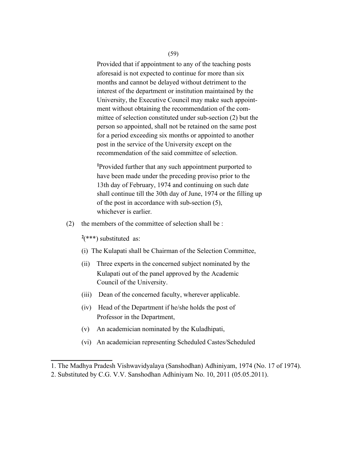(59)

Provided that if appointment to any of the teaching posts aforesaid is not expected to continue for more than six months and cannot be delayed without detriment to the interest of the department or institution maintained by the University, the Executive Council may make such appointment without obtaining the recommendation of the committee of selection constituted under sub-section (2) but the person so appointed, shall not be retained on the same post for a period exceeding six months or appointed to another post in the service of the University except on the recommendation of the said committee of selection.

**<sup>1</sup>**Provided further that any such appointment purported to have been made under the preceding proviso prior to the 13th day of February, 1974 and continuing on such date shall continue till the 30th day of June, 1974 or the filling up of the post in accordance with sub-section (5), whichever is earlier.

(2) the members of the committee of selection shall be :

 $2$ <sup>(\*\*\*</sup>) substituted as:

- (i) The Kulapati shall be Chairman of the Selection Committee,
- (ii) Three experts in the concerned subject nominated by the Kulapati out of the panel approved by the Academic Council of the University.
- (iii) Dean of the concerned faculty, wherever applicable.
- (iv) Head of the Department if he/she holds the post of Professor in the Department,
- (v) An academician nominated by the Kuladhipati,
- (vi) An academician representing Scheduled Castes/Scheduled

<sup>1.</sup> The Madhya Pradesh Vishwavidyalaya (Sanshodhan) Adhiniyam, 1974 (No. 17 of 1974).

<sup>2.</sup> Substituted by C.G. V.V. Sanshodhan Adhiniyam No. 10, 2011 (05.05.2011).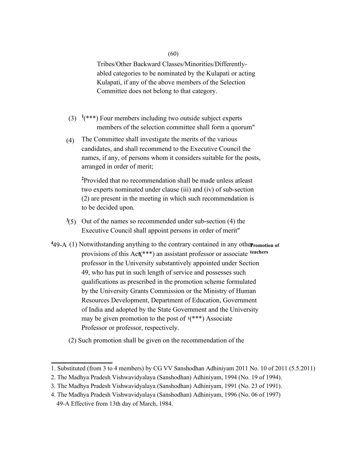#### (60)

Tribes/Other Backward Classes/Minorities/Differentlyabled categories to be nominated by the Kulapati or acting Kulapati, if any of the above members of the Selection Committee does not belong to that category.

- $(3)$  <sup>1</sup>(\*\*\*) Four members including two outside subject experts members of the selection committee shall form a quorum"
- (4) The Committee shall investigate the merits of the various candidates, and shall recommend to the Executive Council the names, if any, of persons whom it considers suitable for the posts, arranged in order of merit;

**<sup>2</sup>**Provided that no recommendation shall be made unless atleast two experts nominated under clause (iii) and (iv) of sub-section (2) are present in the meeting in which such recommendation is to be decided upon.

- **3** (5) Out of the names so recommended under sub-section (4) the Executive Council shall appoint persons in order of merit"
- <sup>4</sup>49-A (1) Notwithstanding anything to the contrary contained in any other romotion of provisions of this Act(\*\*\*) an assistant professor or associate teachers professor in the University substantively appointed under Section 49, who has put in such length of service and possesses such qualifications as prescribed in the promotion scheme formulated by the University Grants Commission or the Ministry of Human Resources Development, Department of Education, Government of India and adopted by the State Government and the University may be given promotion to the post of **<sup>1</sup>**(\*\*\*) Associate Professor or professor, respectively.
	- (2) Such promotion shall be given on the recommendation of the

<sup>1.</sup> Substituted (from 3 to 4 members) by CG VV Sanshodhan Adhiniyam 2011 No. 10 of 2011 (5.5.2011)

<sup>2.</sup> The Madhya Pradesh Vishwavidyalaya (Sanshodhan) Adhiniyam, 1994 (No. 19 of 1994).

<sup>3.</sup> The Madhya Pradesh Vishwavidyalaya (Sanshodhan) Adhiniyam, 1991 (No. 23 of 1991).

<sup>4.</sup> The Madhya Pradesh Vishwavidyalaya (Sanshodhan) Adhiniyam, 1996 (No. 06 of 1997) 49-A Effective from 13th day of March, 1984.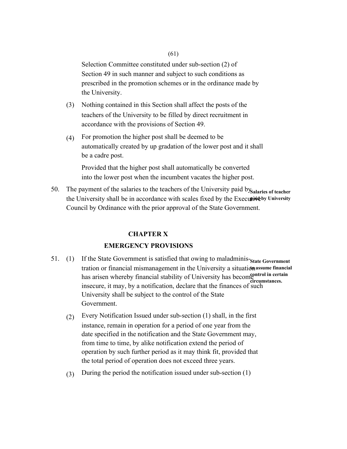Selection Committee constituted under sub-section (2) of Section 49 in such manner and subject to such conditions as prescribed in the promotion schemes or in the ordinance made by the University.

- (3) Nothing contained in this Section shall affect the posts of the teachers of the University to be filled by direct recruitment in accordance with the provisions of Section 49.
- (4) For promotion the higher post shall be deemed to be automatically created by up gradation of the lower post and it shall be a cadre post.

Provided that the higher post shall automatically be converted into the lower post when the incumbent vacates the higher post.

50. The payment of the salaries to the teachers of the University paid by salaries of teacher the University shall be in accordance with scales fixed by the Executive by University Council by Ordinance with the prior approval of the State Government.

# **CHAPTER X**

# **EMERGENCY PROVISIONS**

- 51. (1) If the State Government is satisfied that owing to maladminis-State Government tration or financial mismanagement in the University a situation assume financial has arisen whereby financial stability of University has become control in certain insecure, it may, by a notification, declare that the finances of such the surface of such that the finances of such University shall be subject to the control of the State Government. **circumstances.** 
	- (2) Every Notification Issued under sub-section (1) shall, in the first instance, remain in operation for a period of one year from the date specified in the notification and the State Government may, from time to time, by alike notification extend the period of operation by such further period as it may think fit, provided that the total period of operation does not exceed three years.
	- (3) During the period the notification issued under sub-section (1)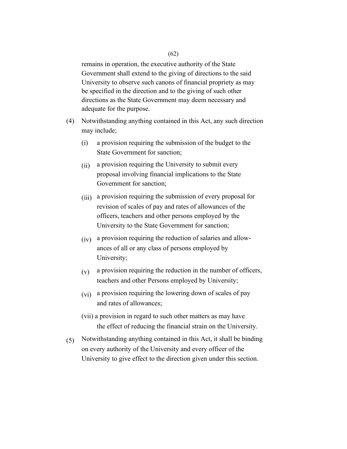remains in operation, the executive authority of the State Government shall extend to the giving of directions to the said University to observe such canons of financial propriety as may be specified in the direction and to the giving of such other directions as the State Government may deem necessary and adequate for the purpose.

- (4) Notwithstanding anything contained in this Act, any such direction may include;
	- (i) a provision requiring the submission of the budget to the State Government for sanction;
	- (ii) a provision requiring the University to submit every proposal involving financial implications to the State Government for sanction;
	- (iii) a provision requiring the submission of every proposal for revision of scales of pay and rates of allowances of the officers, teachers and other persons employed by the University to the State Government for sanction;
	- (iv) a provision requiring the reduction of salaries and allowances of all or any class of persons employed by University;
	- $(v)$  a provision requiring the reduction in the number of officers, teachers and other Persons employed by University;
	- (vi) a provision requiring the lowering down of scales of pay and rates of allowances;
	- (vii) a provision in regard to such other matters as may have the effect of reducing the financial strain on the University.
- (5) Notwithstanding anything contained in this Act, it shall be binding on every authority of the University and every officer of the University to give effect to the direction given under this section.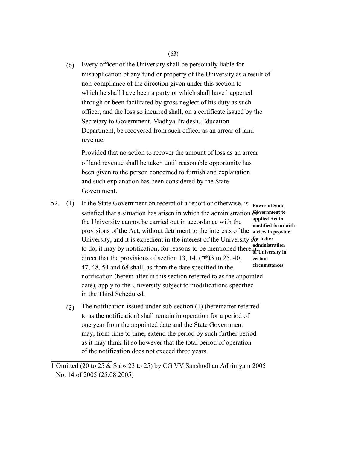(6) Every officer of the University shall be personally liable for misapplication of any fund or property of the University as a result of non-compliance of the direction given under this section to which he shall have been a party or which shall have happened through or been facilitated by gross neglect of his duty as such officer, and the loss so incurred shall, on a certificate issued by the Secretary to Government, Madhya Pradesh, Education Department, be recovered from such officer as an arrear of land revenue;

Provided that no action to recover the amount of loss as an arrear of land revenue shall be taken until reasonable opportunity has been given to the person concerned to furnish and explanation and such explanation has been considered by the State Government.

- 52. (1) If the State Government on receipt of a report or otherwise, is satisfied that a situation has arisen in which the administration Government to the University cannot be carried out in accordance with the provisions of the Act, without detriment to the interests of the **a view in provide**  University, and it is expedient in the interest of the University sor better to do, it may by notification, for reasons to be mentioned therein, administration direct that the provisions of section 13, 14,  $(*\ast 33)$  to 25, 40, 47, 48, 54 and 68 shall, as from the date specified in the notification (herein after in this section referred to as the appointed date), apply to the University subject to modifications specified in the Third Scheduled. **Power of State applied Act in modified form with of University in certain circumstances.** 
	- (2) The notification issued under sub-section (1) (hereinafter referred to as the notification) shall remain in operation for a period of one year from the appointed date and the State Government may, from time to time, extend the period by such further period as it may think fit so however that the total period of operation of the notification does not exceed three years.

<sup>1</sup> Omitted (20 to 25 & Subs 23 to 25) by CG VV Sanshodhan Adhiniyam 2005 No. 14 of 2005 (25.08.2005)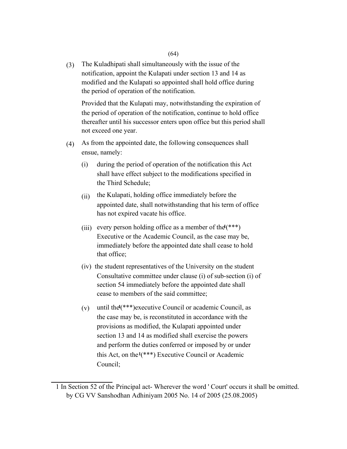(3) The Kuladhipati shall simultaneously with the issue of the notification, appoint the Kulapati under section 13 and 14 as modified and the Kulapati so appointed shall hold office during the period of operation of the notification.

Provided that the Kulapati may, notwithstanding the expiration of the period of operation of the notification, continue to hold office thereafter until his successor enters upon office but this period shall not exceed one year.

- (4) As from the appointed date, the following consequences shall ensue, namely:
	- (i) during the period of operation of the notification this Act shall have effect subject to the modifications specified in the Third Schedule;
	- (ii) the Kulapati, holding office immediately before the appointed date, shall notwithstanding that his term of office has not expired vacate his office.
	- (iii) every person holding office as a member of the  $(***)$ Executive or the Academic Council, as the case may be, immediately before the appointed date shall cease to hold that office;
	- (iv) the student representatives of the University on the student Consultative committee under clause (i) of sub-section (i) of section 54 immediately before the appointed date shall cease to members of the said committee;
	- (v) until the**1**(\*\*\*)executive Council or academic Council, as the case may be, is reconstituted in accordance with the provisions as modified, the Kulapati appointed under section 13 and 14 as modified shall exercise the powers and perform the duties conferred or imposed by or under this Act, on the**1**(\*\*\*) Executive Council or Academic Council;

<sup>1</sup> In Section 52 of the Principal act- Wherever the word ' Court' occurs it shall be omitted. by CG VV Sanshodhan Adhiniyam 2005 No. 14 of 2005 (25.08.2005)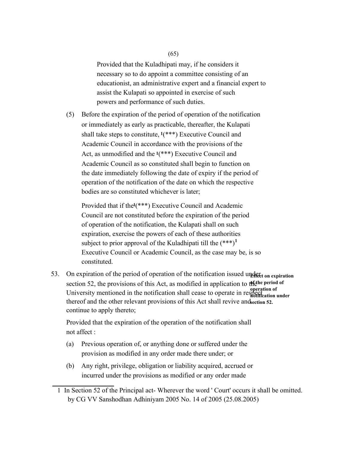(65)

Provided that the Kuladhipati may, if he considers it necessary so to do appoint a committee consisting of an educationist, an administrative expert and a financial expert to assist the Kulapati so appointed in exercise of such powers and performance of such duties.

(5) Before the expiration of the period of operation of the notification or immediately as early as practicable, thereafter, the Kulapati shall take steps to constitute, **<sup>1</sup>**(\*\*\*) Executive Council and Academic Council in accordance with the provisions of the Act, as unmodified and the **<sup>1</sup>**(\*\*\*) Executive Council and Academic Council as so constituted shall begin to function on the date immediately following the date of expiry if the period of operation of the notification of the date on which the respective bodies are so constituted whichever is later;

Provided that if the**1**(\*\*\*) Executive Council and Academic Council are not constituted before the expiration of the period of operation of the notification, the Kulapati shall on such expiration, exercise the powers of each of these authorities subject to prior approval of the Kuladhipati till the  $(***)^1$ Executive Council or Academic Council, as the case may be, is so constituted.

53. On expiration of the period of operation of the notification issued under the expiration section 52, the provisions of this Act, as modified in application to the period of University mentioned in the notification shall cease to operate in respection of thereof and the other relevant provisions of this Act shall revive and section 52. continue to apply thereto; **notification under** 

Provided that the expiration of the operation of the notification shall not affect :

- (a) Previous operation of, or anything done or suffered under the provision as modified in any order made there under; or
- (b) Any right, privilege, obligation or liability acquired, accrued or incurred under the provisions as modified or any order made
- 1 In Section 52 of the Principal act- Wherever the word ' Court' occurs it shall be omitted. by CG VV Sanshodhan Adhiniyam 2005 No. 14 of 2005 (25.08.2005)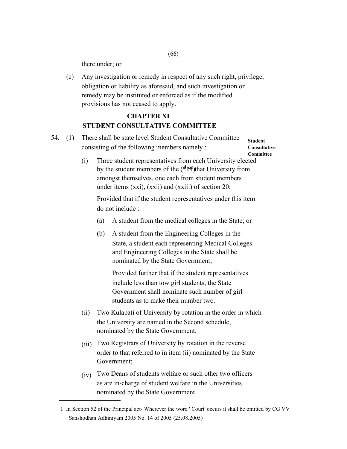there under; or

(c) Any investigation or remedy in respect of any such right, privilege, obligation or liability as aforesaid, and such investigation or remedy may be instituted or enforced as if the modified provisions has not ceased to apply.

# **CHAPTER XI STUDENT CONSULTATIVE COMMITTEE**

54. (1) There shall be state level Student Consultative Committee consisting of the following members namely : **Student** 

**Consultative Committee** 

(i) Three student representatives from each University elected by the student members of the (<sup>\*</sup>\*\*) that University from under items (xxi), (xxii) and (xxiii) of section 20; amongst themselves, one each from student members

Provided that if the student representatives under this item do not include :

- (a) A student from the medical colleges in the State; or
- (b) A student from the Engineering Colleges in the State, a student each representing Medical Colleges and Engineering Colleges in the State shall be nominated by the State Government;

Provided further that if the student representatives include less than tow girl students, the State Government shall nominate such number of girl students as to make their number two.

- (ii) Two Kulapati of University by rotation in the order in which the University are named in the Second schedule, nominated by the State Government;
- (iii) Two Registrars of University by rotation in the reverse order to that referred to in item (ii) nominated by the State Government;
- (iv) Two Deans of students welfare or such other two officers as are in-charge of student welfare in the Universities nominated by the State Government.

(66)

<sup>1</sup> In Section 52 of the Principal act- Wherever the word ' Court' occurs it shall be omitted by CG VV Sanshodhan Adhiniyam 2005 No. 14 of 2005 (25.08.2005)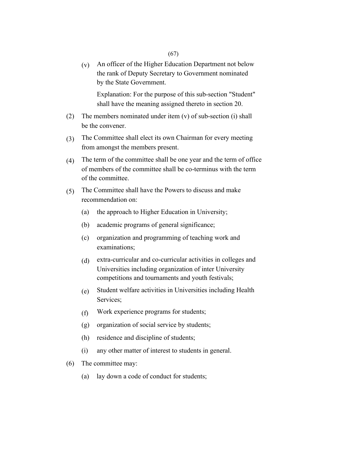(v) An officer of the Higher Education Department not below the rank of Deputy Secretary to Government nominated by the State Government.

Explanation: For the purpose of this sub-section "Student" shall have the meaning assigned thereto in section 20.

- (2) The members nominated under item (v) of sub-section (i) shall be the convener.
- (3) The Committee shall elect its own Chairman for every meeting from amongst the members present.
- (4) The term of the committee shall be one year and the term of office of members of the committee shall be co-terminus with the term of the committee.
- (5) The Committee shall have the Powers to discuss and make recommendation on:
	- (a) the approach to Higher Education in University;
	- (b) academic programs of general significance;
	- (c) organization and programming of teaching work and examinations;
	- (d) extra-curricular and co-curricular activities in colleges and Universities including organization of inter University competitions and tournaments and youth festivals;
	- (e) Student welfare activities in Universities including Health Services;
	- (f) Work experience programs for students;
	- (g) organization of social service by students;
	- (h) residence and discipline of students;
	- (i) any other matter of interest to students in general.
- (6) The committee may:
	- (a) lay down a code of conduct for students;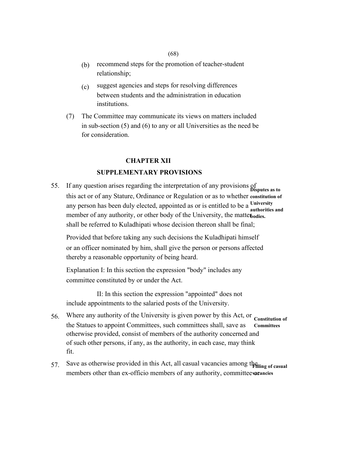#### (68)

- (b) recommend steps for the promotion of teacher-student relationship;
- $(c)$ suggest agencies and steps for resolving differences between students and the administration in education institutions.
- (7) The Committee may communicate its views on matters included in sub-section (5) and (6) to any or all Universities as the need be for consideration.

#### **CHAPTER XII**

#### **SUPPLEMENTARY PROVISIONS**

55. If any question arises regarding the interpretation of any provisions of **Disputes as to**  this act or of any Stature, Ordinance or Regulation or as to whether **constitution of**  any person has been duly elected, appointed as or is entitled to be a **University**  member of any authority, or other body of the University, the matterbodies. shall be referred to Kuladhipati whose decision thereon shall be final; **authorities and** 

Provided that before taking any such decisions the Kuladhipati himself or an officer nominated by him, shall give the person or persons affected thereby a reasonable opportunity of being heard.

Explanation I: In this section the expression "body" includes any committee constituted by or under the Act.

II: In this section the expression "appointed" does not include appointments to the salaried posts of the University.

- 56. Where any authority of the University is given power by this Act, or constitution of the Statues to appoint Committees, such committees shall, save as otherwise provided, consist of members of the authority concerned and of such other persons, if any, as the authority, in each case, may think fit. **Committees**
- 57. Save as otherwise provided in this Act, all casual vacancies among the filling of casual members other than ex-officio members of any authority, committee varancies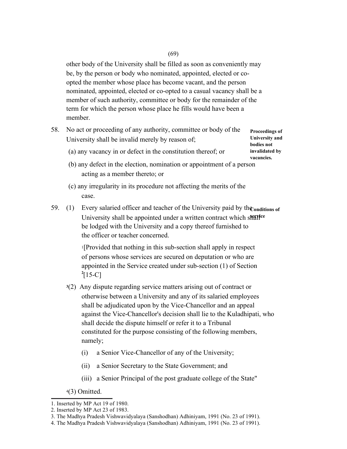other body of the University shall be filled as soon as conveniently may be, by the person or body who nominated, appointed, elected or coopted the member whose place has become vacant, and the person nominated, appointed, elected or co-opted to a casual vacancy shall be a member of such authority, committee or body for the remainder of the term for which the person whose place he fills would have been a member.

58. No act or proceeding of any authority, committee or body of the University shall be invalid merely by reason of;

**Proceedings of University and bodies not invalidated by vacancies.** 

- (a) any vacancy in or defect in the constitution thereof; or
- (b) any defect in the election, nomination or appointment of a person acting as a member thereto; or
- (c) any irregularity in its procedure not affecting the merits of the case.
- 59. (1) Every salaried officer and teacher of the University paid by the <sub>conditions of</sub> University shall be appointed under a written contract which stative be lodged with the University and a copy thereof furnished to the officer or teacher concerned.

<sup>1</sup>[Provided that nothing in this sub-section shall apply in respect of persons whose services are secured on deputation or who are appointed in the Service created under sub-section (1) of Section  $^{2}[15-C]$ 

- **<sup>3</sup>**(2) Any dispute regarding service matters arising out of contract or otherwise between a University and any of its salaried employees shall be adjudicated upon by the Vice-Chancellor and an appeal against the Vice-Chancellor's decision shall lie to the Kuladhipati, who shall decide the dispute himself or refer it to a Tribunal constituted for the purpose consisting of the following members, namely;
	- (i) a Senior Vice-Chancellor of any of the University;
	- (ii) a Senior Secretary to the State Government; and
	- (iii) a Senior Principal of the post graduate college of the State"
- <sup>4</sup>(3) Omitted.

<sup>1.</sup> Inserted by MP Act 19 of 1980.

<sup>2.</sup> Inserted by MP Act 23 of 1983.

<sup>3.</sup> The Madhya Pradesh Vishwavidyalaya (Sanshodhan) Adhiniyam, 1991 (No. 23 of 1991).

<sup>4.</sup> The Madhya Pradesh Vishwavidyalaya (Sanshodhan) Adhiniyam, 1991 (No. 23 of 1991).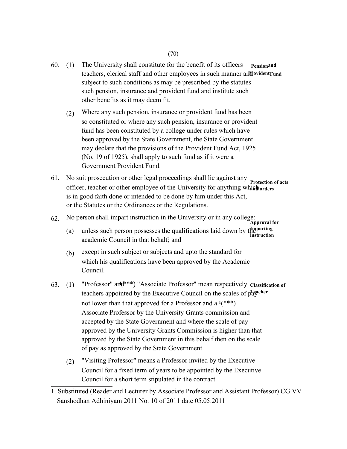- 60. (1) The University shall constitute for the benefit of its officers **Pensionand** teachers, clerical staff and other employees in such manner and *d***ubility** and **Provident Fund** subject to such conditions as may be prescribed by the statutes such pension, insurance and provident fund and institute such other benefits as it may deem fit.
	- (2) Where any such pension, insurance or provident fund has been so constituted or where any such pension, insurance or provident fund has been constituted by a college under rules which have been approved by the State Government, the State Government may declare that the provisions of the Provident Fund Act, 1925 (No. 19 of 1925), shall apply to such fund as if it were a Government Provident Fund.
- 61. No suit prosecution or other legal proceedings shall lie against any **Protection of acts**  officer, teacher or other employee of the University for anything which orders is in good faith done or intended to be done by him under this Act, or the Statutes or the Ordinances or the Regulations.
- 62. No person shall impart instruction in the University or in any college: **Approval for** 
	- (a) unless such person possesses the qualifications laid down by the parting academic Council in that behalf; and **instruction**
	- (b) except in such subject or subjects and upto the standard for which his qualifications have been approved by the Academic Council.
- 63. (1) "Professor" and<sup>\*\*\*</sup>) "Associate Professor" mean respectively Classification of teachers appointed by the Executive Council on the scales of playseler not lower than that approved for a Professor and a **<sup>1</sup>**(\*\*\*) Associate Professor by the University Grants commission and accepted by the State Government and where the scale of pay approved by the University Grants Commission is higher than that approved by the State Government in this behalf then on the scale of pay as approved by the State Government.
	- (2) "Visiting Professor" means a Professor invited by the Executive Council for a fixed term of years to be appointed by the Executive Council for a short term stipulated in the contract.

<sup>1.</sup> Substituted (Reader and Lecturer by Associate Professor and Assistant Professor) CG VV Sanshodhan Adhiniyam 2011 No. 10 of 2011 date 05.05.2011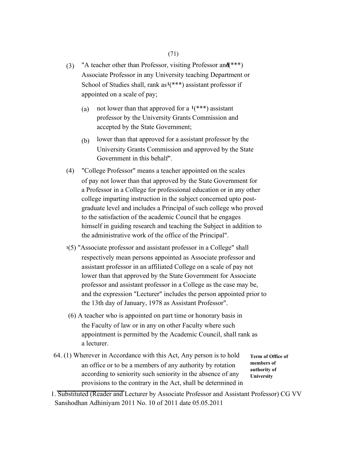- (3) "A teacher other than Professor, visiting Professor and (\*\*\*) Associate Professor in any University teaching Department or School of Studies shall, rank as**1**(\*\*\*) assistant professor if appointed on a scale of pay;
	- (a) not lower than that approved for a  $1$ <sup>(\*\*\*</sup>) assistant professor by the University Grants Commission and accepted by the State Government;
	- (b) lower than that approved for a assistant professor by the University Grants Commission and approved by the State Government in this behalf".
- (4) "College Professor" means a teacher appointed on the scales of pay not lower than that approved by the State Government for a Professor in a College for professional education or in any other college imparting instruction in the subject concerned upto postgraduate level and includes a Principal of such college who proved to the satisfaction of the academic Council that he engages himself in guiding research and teaching the Subject in addition to the administrative work of the office of the Principal".
- **<sup>1</sup>**(5) "Associate professor and assistant professor in a College" shall respectively mean persons appointed as Associate professor and assistant professor in an affiliated College on a scale of pay not lower than that approved by the State Government for Associate professor and assistant professor in a College as the case may be, and the expression "Lecturer" includes the person appointed prior to the 13th day of January, 1978 as Assistant Professor".
- (6) A teacher who is appointed on part time or honorary basis in the Faculty of law or in any on other Faculty where such appointment is permitted by the Academic Council, shall rank as a lecturer.
- 64. (1) Wherever in Accordance with this Act, Any person is to hold an office or to be a members of any authority by rotation according to seniority such seniority in the absence of any provisions to the contrary in the Act, shall be determined in

**Term of Office of members of authority of University** 

1. Substituted (Reader and Lecturer by Associate Professor and Assistant Professor) CG VV Sanshodhan Adhiniyam 2011 No. 10 of 2011 date 05.05.2011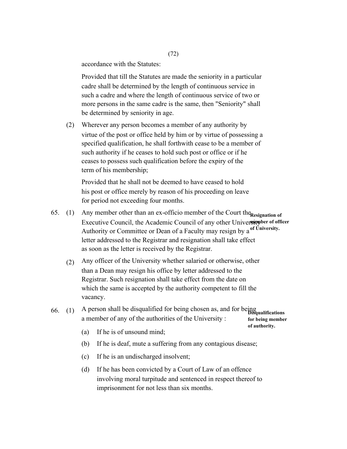accordance with the Statutes:

Provided that till the Statutes are made the seniority in a particular cadre shall be determined by the length of continuous service in such a cadre and where the length of continuous service of two or more persons in the same cadre is the same, then "Seniority" shall be determined by seniority in age.

(2) Wherever any person becomes a member of any authority by virtue of the post or office held by him or by virtue of possessing a specified qualification, he shall forthwith cease to be a member of such authority if he ceases to hold such post or office or if he ceases to possess such qualification before the expiry of the term of his membership;

Provided that he shall not be deemed to have ceased to hold his post or office merely by reason of his proceeding on leave for period not exceeding four months.

- 65. (1) Any member other than an ex-officio member of the Court the Resignation of Executive Council, the Academic Council of any other University ber of officer Authority or Committee or Dean of a Faculty may resign by a **of University.**  letter addressed to the Registrar and resignation shall take effect as soon as the letter is received by the Registrar.
	- (2) Any officer of the University whether salaried or otherwise, other than a Dean may resign his office by letter addressed to the Registrar. Such resignation shall take effect from the date on which the same is accepted by the authority competent to fill the vacancy.

#### 66. (1) A person shall be disqualified for being chosen as, and for being **Disqualifications**  a member of any of the authorities of the University : **for being member**

- (a) If he is of unsound mind;
- (b) If he is deaf, mute a suffering from any contagious disease;

**of authority.** 

- (c) If he is an undischarged insolvent;
- (d) If he has been convicted by a Court of Law of an offence involving moral turpitude and sentenced in respect thereof to imprisonment for not less than six months.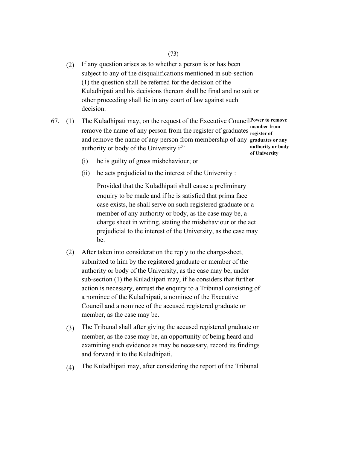- (2) If any question arises as to whether a person is or has been subject to any of the disqualifications mentioned in sub-section (1) the question shall be referred for the decision of the Kuladhipati and his decisions thereon shall be final and no suit or other proceeding shall lie in any court of law against such decision.
- 67. (1) The Kuladhipati may, on the request of the Executive Council Power to remove remove the name of any person from the register of graduates **member** from and remove the name of any person from membership of any **graduates or any**  authority or body of the University if" **register of**

**authority or body of University** 

- (i) he is guilty of gross misbehaviour; or
- (ii) he acts prejudicial to the interest of the University :

Provided that the Kuladhipati shall cause a preliminary enquiry to be made and if he is satisfied that prima face case exists, he shall serve on such registered graduate or a member of any authority or body, as the case may be, a charge sheet in writing, stating the misbehaviour or the act prejudicial to the interest of the University, as the case may be.

- (2) After taken into consideration the reply to the charge-sheet, submitted to him by the registered graduate or member of the authority or body of the University, as the case may be, under sub-section (1) the Kuladhipati may, if he considers that further action is necessary, entrust the enquiry to a Tribunal consisting of a nominee of the Kuladhipati, a nominee of the Executive Council and a nominee of the accused registered graduate or member, as the case may be.
- (3) The Tribunal shall after giving the accused registered graduate or member, as the case may be, an opportunity of being heard and examining such evidence as may be necessary, record its findings and forward it to the Kuladhipati.
- (4) The Kuladhipati may, after considering the report of the Tribunal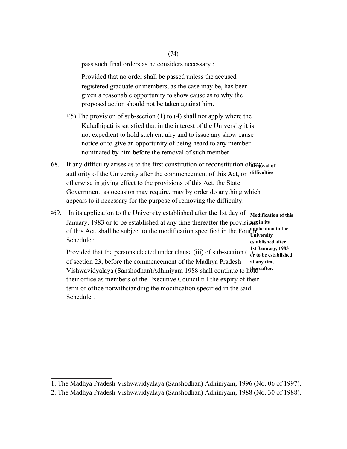pass such final orders as he considers necessary :

Provided that no order shall be passed unless the accused registered graduate or members, as the case may be, has been given a reasonable opportunity to show cause as to why the proposed action should not be taken against him.

- $1(5)$  The provision of sub-section (1) to (4) shall not apply where the Kuladhipati is satisfied that in the interest of the University it is not expedient to hold such enquiry and to issue any show cause notice or to give an opportunity of being heard to any member nominated by him before the removal of such member.
- 68. If any difficulty arises as to the first constitution or reconstitution of **Rem**oval of authority of the University after the commencement of this Act, or **difficulties**  otherwise in giving effect to the provisions of this Act, the State Government, as occasion may require, may by order do anything which appears to it necessary for the purpose of removing the difficulty.
- **<sup>2</sup>**69. In its application to the University established after the 1st day of January, 1983 or to be established at any time thereafter the provisions in its of this Act, shall be subject to the modification specified in the Fourth supplication to the Schedule : Provided that the persons elected under clause (iii) of sub-section (1<sup>1</sup><sub>2</sub>, to be established of section 23, before the commencement of the Madhya Pradesh Vishwavidyalaya (Sanshodhan)Adhiniyam 1988 shall continue to hold reafter. their office as members of the Executive Council till the expiry of their term of office notwithstanding the modification specified in the said Schedule". **Modification of this University established after or to be established at any time**

(74)

<sup>1.</sup> The Madhya Pradesh Vishwavidyalaya (Sanshodhan) Adhiniyam, 1996 (No. 06 of 1997).

<sup>2.</sup> The Madhya Pradesh Vishwavidyalaya (Sanshodhan) Adhiniyam, 1988 (No. 30 of 1988).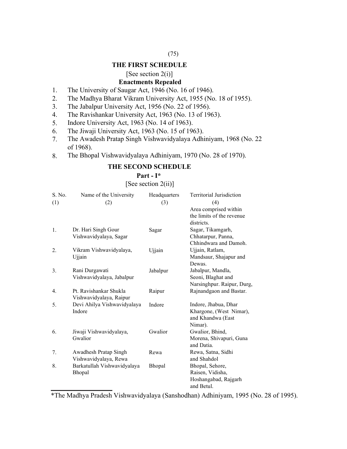## (75)

#### **THE FIRST SCHEDULE**

#### [See section 2(i)]

#### **Enactments Repealed**

- 1. The University of Saugar Act, 1946 (No. 16 of 1946).
- 2. The Madhya Bharat Vikram University Act, 1955 (No. 18 of 1955).
- 3. The Jabalpur University Act, 1956 (No. 22 of 1956).
- 4. The Ravishankar University Act, 1963 (No. 13 of 1963).
- 5. Indore University Act, 1963 (No. 14 of 1963).
- 6. The Jiwaji University Act, 1963 (No. 15 of 1963).
- 7. The Awadesh Pratap Singh Vishwavidyalaya Adhiniyam, 1968 (No. 22 of 1968).
- 8. The Bhopal Vishwavidyalaya Adhiniyam, 1970 (No. 28 of 1970).

### **THE SECOND SCHEDULE**

#### **Part - I\***

[See section 2(ii)]

| S. No. | Name of the University      | Headquarters | <b>Territorial Jurisdiction</b> |
|--------|-----------------------------|--------------|---------------------------------|
| (1)    | (2)                         | (3)          | (4)                             |
|        |                             |              | Area comprised within           |
|        |                             |              | the limits of the revenue       |
|        |                             |              | districts.                      |
| 1.     | Dr. Hari Singh Gour         | Sagar        | Sagar, Tikamgarh,               |
|        | Vishwavidyalaya, Sagar      |              | Chhatarpur, Panna,              |
|        |                             |              | Chhindwara and Damoh.           |
| 2.     | Vikram Vishwavidyalaya,     | Ujjain       | Ujjain, Ratlam,                 |
|        | Ujjain                      |              | Mandsaur, Shajapur and          |
|        |                             |              | Dewas.                          |
| 3.     | Rani Durgawati              | Jabalpur     | Jabalpur, Mandla,               |
|        | Vishwavidyalaya, Jabalpur   |              | Seoni, Blaghat and              |
|        |                             |              | Narsinghpur. Raipur, Durg,      |
| 4.     | Pt. Ravishankar Shukla      | Raipur       | Rajnandgaon and Bastar.         |
|        | Vishwavidyalaya, Raipur     |              |                                 |
| 5.     | Devi Ahilya Vishwavidyalaya | Indore       | Indore, Jhabua, Dhar            |
|        | Indore                      |              | Khargone, (West Nimar),         |
|        |                             |              | and Khandwa (East               |
|        |                             |              | Nimar).                         |
| 6.     | Jiwaji Vishwavidyalaya,     | Gwalior      | Gwalior, Bhind,                 |
|        | Gwalior                     |              | Morena, Shivapuri, Guna         |
|        |                             |              | and Datia.                      |
| 7.     | Awadhesh Pratap Singh       | Rewa         | Rewa, Satna, Sidhi              |
|        | Vishwavidyalaya, Rewa       |              | and Shahdol                     |
| 8.     | Barkatullah Vishwavidyalaya | Bhopal       | Bhopal, Sehore,                 |
|        | Bhopal                      |              | Raisen, Vidisha,                |
|        |                             |              | Hoshangabad, Rajgarh            |
|        |                             |              | and Betul.                      |

<sup>\*</sup>The Madhya Pradesh Vishwavidyalaya (Sanshodhan) Adhiniyam, 1995 (No. 28 of 1995).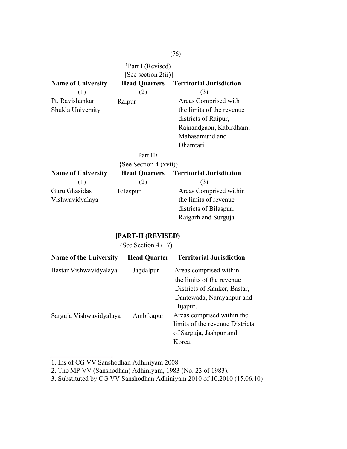**<sup>1</sup>**Part I (Revised) [See section 2(ii)] **Name of University Head Quarters Territorial Jurisdiction**  (1) Pt. Ravishankar Shukla University Raipur (2) **Part II<sub>2</sub>** (3) Areas Comprised with the limits of the revenue districts of Raipur, Rajnandgaon, Kabirdham, Mahasamund and Dhamtari  $(S_{\text{eq}} \, S_{\text{e}})$ 

| $\{See Section 4 (XV11)\}$ |                      |                                 |  |  |  |
|----------------------------|----------------------|---------------------------------|--|--|--|
| <b>Name of University</b>  | <b>Head Quarters</b> | <b>Territorial Jurisdiction</b> |  |  |  |
|                            | (2)                  | (3)                             |  |  |  |
| Guru Ghasidas              | Bilaspur             | Areas Comprised within          |  |  |  |
| Vishwavidyalaya            |                      | the limits of revenue           |  |  |  |
|                            |                      | districts of Bilaspur,          |  |  |  |
|                            |                      | Raigarh and Surguja.            |  |  |  |

## **[PART-II (REVISED)<sup>3</sup>**

(See Section 4 (17)

| <b>Name of the University</b> | <b>Head Quarter</b> | <b>Territorial Jurisdiction</b> |
|-------------------------------|---------------------|---------------------------------|
| Bastar Vishwavidyalaya        | Jagdalpur           | Areas comprised within          |
|                               |                     | the limits of the revenue       |
|                               |                     | Districts of Kanker, Bastar,    |
|                               |                     | Dantewada, Narayanpur and       |
|                               |                     | Bijapur.                        |
| Sarguja Vishwavidyalaya       | Ambikapur           | Areas comprised within the      |
|                               |                     | limits of the revenue Districts |
|                               |                     | of Sarguja, Jashpur and         |
|                               |                     | Korea.                          |

1. Ins of CG VV Sanshodhan Adhiniyam 2008.

2. The MP VV (Sanshodhan) Adhiniyam, 1983 (No. 23 of 1983).

3. Substituted by CG VV Sanshodhan Adhiniyam 2010 of 10.2010 (15.06.10)

#### (76)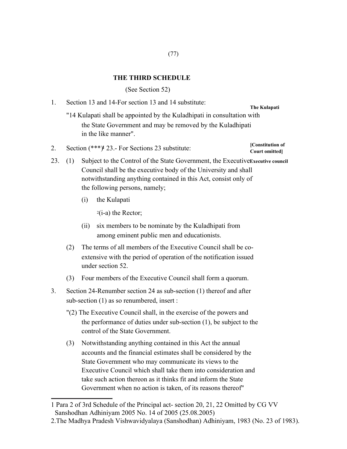### **THE THIRD SCHEDULE**

(See Section 52)

- 1. Section 13 and 14-For section 13 and 14 substitute: "14 Kulapati shall be appointed by the Kuladhipati in consultation with the State Government and may be removed by the Kuladhipati in the like manner". **The Kulapati**
- Section (\*\*\*)**<sup>1</sup>** 23.- For Sections 23 substitute: 23. (1) Subject to the Control of the State Government, the Executive Executive council Council shall be the executive body of the University and shall notwithstanding anything contained in this Act, consist only of
	- the following persons, namely;
	- (i) the Kulapati

2.

 $2(i-a)$  the Rector;

- (ii) six members to be nominate by the Kuladhipati from among eminent public men and educationists.
- (2) The terms of all members of the Executive Council shall be coextensive with the period of operation of the notification issued under section 52.
- (3) Four members of the Executive Council shall form a quorum.
- 3. Section 24-Renumber section 24 as sub-section (1) thereof and after sub-section (1) as so renumbered, insert :
	- "(2) The Executive Council shall, in the exercise of the powers and the performance of duties under sub-section (1), be subject to the control of the State Government.
	- (3) Notwithstanding anything contained in this Act the annual accounts and the financial estimates shall be considered by the State Government who may communicate its views to the Executive Council which shall take them into consideration and take such action thereon as it thinks fit and inform the State Government when no action is taken, of its reasons thereof"

**[Constitution of Court omitted]** 

<sup>1</sup> Para 2 of 3rd Schedule of the Principal act- section 20, 21, 22 Omitted by CG VV Sanshodhan Adhiniyam 2005 No. 14 of 2005 (25.08.2005)

<sup>2.</sup>The Madhya Pradesh Vishwavidyalaya (Sanshodhan) Adhiniyam, 1983 (No. 23 of 1983).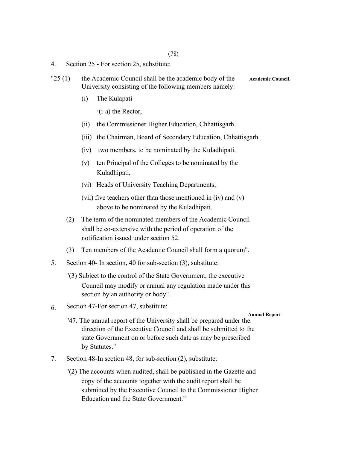(78)

- 4. Section 25 For section 25, substitute:
- "25 (1) the Academic Council shall be the academic body of the **Academic Council**. University consisting of the following members namely:
	- (i) The Kulapati

 $1(i-a)$  the Rector,

- (ii) the Commissioner Higher Education, Chhattisgarh.
- (iii) the Chairman, Board of Secondary Education, Chhattisgarh.
- (iv) two members, to be nominated by the Kuladhipati.
- (v) ten Principal of the Colleges to be nominated by the Kuladhipati,
- (vi) Heads of University Teaching Departments,
- (vii) five teachers other than those mentioned in (iv) and (v) above to be nominated by the Kuladhipati.
- (2) The term of the nominated members of the Academic Council shall be co-extensive with the period of operation of the notification issued under section 52.
- (3) Ten members of the Academic Council shall form a quorum".
- 5. Section 40- In section, 40 for sub-section (3), substitute:
	- "(3) Subject to the control of the State Government, the executive Council may modify or annual any regulation made under this section by an authority or body".
- 6. Section 47-For section 47, substitute:

#### **Annual Report**

- "47. The annual report of the University shall be prepared under the direction of the Executive Council and shall be submitted to the state Government on or before such date as may be prescribed by Statutes."
- 7. Section 48-In section 48, for sub-section (2), substitute:
	- "(2) The accounts when audited, shall be published in the Gazette and copy of the accounts together with the audit report shall be submitted by the Executive Council to the Commissioner Higher Education and the State Government."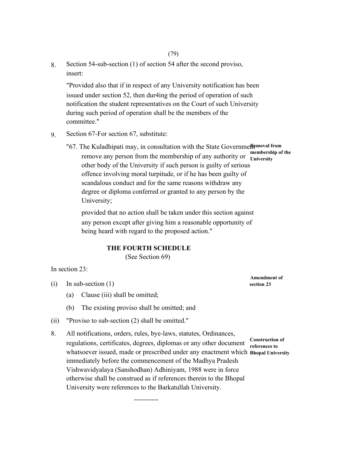8. Section 54-sub-section (1) of section 54 after the second proviso, insert:

"Provided also that if in respect of any University notification has been issued under section 52, then dur4ing the period of operation of such notification the student representatives on the Court of such University during such period of operation shall be the members of the committee."

- 9. Section 67-For section 67, substitute:
	- "67. The Kuladhipati may, in consultation with the State GovernmeRemoval from remove any person from the membership of any authority or **University** other body of the University if such person is guilty of serious offence involving moral turpitude, or if he has been guilty of scandalous conduct and for the same reasons withdraw any degree or diploma conferred or granted to any person by the University; **membership of the**

provided that no action shall be taken under this section against any person except after giving him a reasonable opportunity of being heard with regard to the proposed action."

#### **THE FOURTH SCHEDULE**

(See Section 69)

-----------

In section 23:

- $\text{(i)}$  In sub-section (1) section 23
	- (a) Clause (iii) shall be omitted;
	- (b) The existing proviso shall be omitted; and
- (ii) "Proviso to sub-section (2) shall be omitted."
- 8. All notifications, orders, rules, bye-laws, statutes, Ordinances, regulations, certificates, degrees, diplomas or any other document whatsoever issued, made or prescribed under any enactment which **Bhopal University** immediately before the commencement of the Madhya Pradesh Vishwavidyalaya (Sanshodhan) Adhiniyam, 1988 were in force otherwise shall be construed as if references therein to the Bhopal University were references to the Barkatullah University. **Construction of references to**

**Amendment of** 

(79)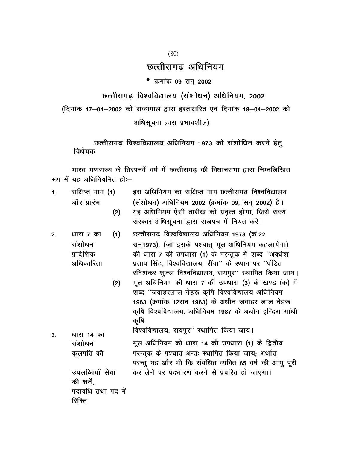(80)

# छत्तीसगढ अधिनियम

## • क्रमांक 09 सन् 2002

छत्तीसगढ़ विश्वविद्यालय (संशोधन) अधिनियम, 2002

(दिनांक 17-04-2002 को राज्यपाल द्वारा हस्ताक्षरित एवं दिनांक 18-04-2002 को

अधिसूचना द्वारा प्रभावशील)

छत्तीसगढ़ विश्वविद्यालय अधिनियम 1973 को संशोधित करने हेतू विधेयक

भारत गणराज्य के तिरपनवें वर्ष में छत्तीसगढ की विधानसभा द्वारा निम्नलिखित रूप में यह अधिनियमित हो: $-$ 

| 1. | संक्षिप्त नाम (1) | इस अधिनियम का संक्षिप्त नाम छत्तीसगढ विश्वविद्यालय |
|----|-------------------|----------------------------------------------------|
|    | और प्रारंभ        | (संशोधन) अधिनियम 2002 (क्रमांक 09, सन् 2002) है।   |
|    | (2)               | यह अधिनियम ऐसी तारीख को प्रवृत्त होगा, जिसे राज्य  |
|    |                   | सरकार अधिसूचना द्वारा राजपत्र में नियत करे।        |

- 2- धारा 7 का संशोधन पादेशिक अधिकारिता  $(1)$ छत्तीसगढ़ विश्वविद्यालय अधिनियम 1973 (क्र.22 सन् 1973), (जो इसके पश्चात् मूल अधिनियम कहलायेगा) की धारा 7 की उपधारा (1) के परन्तुक में शब्द "अवधेश प्रताप सिंह. विश्वविद्यालय. रींवा'' के स्थान पर ''पंडित रविशंकर शुक्ल विश्वविद्यालय, रायपुर'' स्थापित किया जाय।
	- $(2)$ मूल अधिनियम की धारा 7 की उपधारा (3) के खण्ड (क) में शब्द "जवाहरलाल नेहरू कृषि विश्वविद्यालय अधिनियम 1963 (क्रमांक 12सन 1963) के अधीन जवाहर लाल नेहरू कृषि विश्वविद्यालय, अधिनियम 1987 के अधीन इन्दिरा गांधी कृषि
- 3- **धारा 14 का** संशोधन कुलपति की विश्वविद्यालय, रायपुर'' स्थापित किया जाय। मूल अधिनियम की धारा 14 की उपधारा (1) के द्वितीय परन्तुक के पश्चात अन्तः स्थापित किया जाय; अर्थात् परन्तु यह और भी कि संबंधित व्यक्ति 65 वर्ष की आयु पूरी उपलब्धियाँ सेवा कर लेने पर पदधारण करने से प्रवरित हो जाएगा। की शर्ते. पदावधि तथा पद में रिक्ति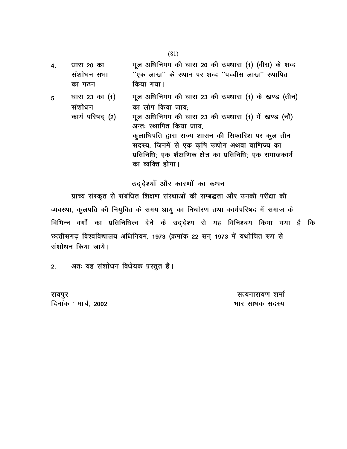4- धारा 20 का संशोधन सभा का गठन मूल अधिनियम की धारा 20 की उपधारा (1) (बीस) के शब्द ''एक लाख'' के स्थान पर शब्द ''पच्चीस लाख'' स्थापित किया गया।

5-  $4$  धारा 23 का $(1)$ संशोधन कार्य परिषद (2) मूल अधिनियम की धारा 23 की उपधारा (1) के खण्ड (तीन) का लोप किया जाय; मूल अधिनियम की धारा 23 की उपधारा (1) में खण्ड (नौ) अन्तः स्थापित किया जाय; कुलाधिपति द्वारा राज्य शासन की सिफारिश पर कुल तीन सदस्य, जिनमें से एक कृषि उद्योग अथवा वाणिज्य का प्रतिनिधि; एक शैक्षणिक क्षेत्र का प्रतिनिधि; एक समाजकार्य का व्यक्ति होगा।

# उद्देश्यों और कारणों का कथन

प्राच्य संस्कृत से संबंधित शिक्षण संस्थाओं की सम्बद्धता और उनकी परीक्षा की व्यवस्था, कुलपति की नियुक्ति के समय आयु का निर्धारण तथा कार्यपरिषद में समाज के विभिन्न वर्गों का प्रतिनिधित्व देने के उद्देश्य से यह विनिश्चय किया गया है कि छत्तीसगढ़ विश्वविद्यालय अधिनियम, 1973 (क्रमांक 22 सन् 1973 में यथोचित रूप से संशोधन किया जाये।

2. अतः यह संशोधन विधेयक प्रस्तुत है।

रायपुर बाट का सामान्य करने के साथ परिवार को सामान्य करने के साथ परिवार को सामान्य करने के सामान्य करने के साथ fnukad % ekpZ] 2002 Hkkj lk/kd lnL;